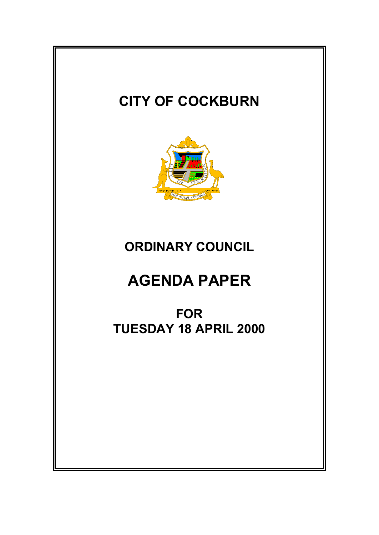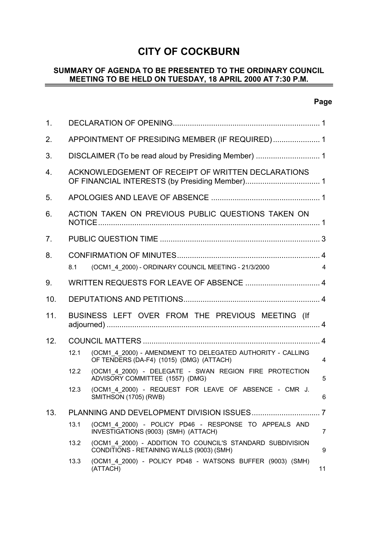# **CITY OF COCKBURN**

# **SUMMARY OF AGENDA TO BE PRESENTED TO THE ORDINARY COUNCIL MEETING TO BE HELD ON TUESDAY, 18 APRIL 2000 AT 7:30 P.M.**

# **Page**

| 1 <sub>1</sub> |                                                 |                                                                                                         |                |  |  |
|----------------|-------------------------------------------------|---------------------------------------------------------------------------------------------------------|----------------|--|--|
| 2.             | APPOINTMENT OF PRESIDING MEMBER (IF REQUIRED) 1 |                                                                                                         |                |  |  |
| 3.             |                                                 |                                                                                                         |                |  |  |
| 4.             |                                                 | ACKNOWLEDGEMENT OF RECEIPT OF WRITTEN DECLARATIONS                                                      |                |  |  |
| 5.             |                                                 |                                                                                                         |                |  |  |
| 6.             |                                                 | ACTION TAKEN ON PREVIOUS PUBLIC QUESTIONS TAKEN ON                                                      |                |  |  |
| 7 <sub>1</sub> |                                                 |                                                                                                         |                |  |  |
| 8.             | 8.1                                             | (OCM1 4 2000) - ORDINARY COUNCIL MEETING - 21/3/2000                                                    | $\overline{4}$ |  |  |
| 9.             |                                                 |                                                                                                         |                |  |  |
| 10.            |                                                 |                                                                                                         |                |  |  |
| 11.            |                                                 | BUSINESS LEFT OVER FROM THE PREVIOUS MEETING (If                                                        |                |  |  |
| 12.            |                                                 |                                                                                                         |                |  |  |
|                | 12.1                                            | (OCM1 4 2000) - AMENDMENT TO DELEGATED AUTHORITY - CALLING<br>OF TENDERS (DA-F4) (1015) (DMG) (ATTACH)  | $\overline{4}$ |  |  |
|                | 12.2                                            | (OCM1 4 2000) - DELEGATE - SWAN REGION FIRE PROTECTION<br>ADVISORY COMMITTEE (1557) (DMG)               | 5              |  |  |
|                | 12.3                                            | (OCM1 4 2000) - REQUEST FOR LEAVE OF ABSENCE - CMR J.<br>SMITHSON (1705) (RWB)                          | 6              |  |  |
| 13.            |                                                 |                                                                                                         |                |  |  |
|                | 13.1                                            | (OCM1 4 2000) - POLICY PD46 - RESPONSE TO APPEALS AND<br>INVESTIGATIONS (9003) (SMH) (ATTACH)           | 7              |  |  |
|                | 13.2                                            | (OCM1_4_2000) - ADDITION TO COUNCIL'S STANDARD SUBDIVISION<br>CONDITIONS - RETAINING WALLS (9003) (SMH) | 9              |  |  |
|                | 13.3                                            | (OCM1 4 2000) - POLICY PD48 - WATSONS BUFFER (9003) (SMH)<br>(ATTACH)                                   | 11             |  |  |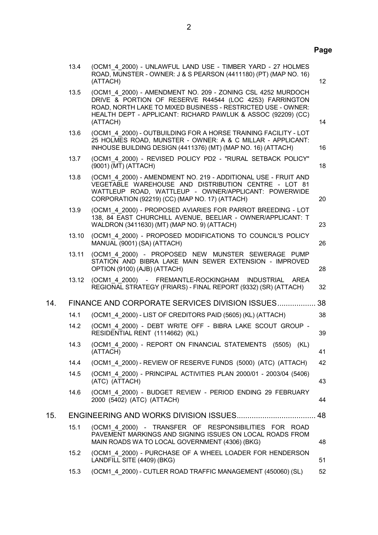# **Page**

|     | 13.4  | (OCM1 4 2000) - UNLAWFUL LAND USE - TIMBER YARD - 27 HOLMES<br>ROAD, MUNSTER - OWNER: J & S PEARSON (4411180) (PT) (MAP NO. 16)<br>(ATTACH)                                                                                                                        | 12 |
|-----|-------|--------------------------------------------------------------------------------------------------------------------------------------------------------------------------------------------------------------------------------------------------------------------|----|
|     | 13.5  | (OCM1 4 2000) - AMENDMENT NO. 209 - ZONING CSL 4252 MURDOCH<br>DRIVE & PORTION OF RESERVE R44544 (LOC 4253) FARRINGTON<br>ROAD, NORTH LAKE TO MIXED BUSINESS - RESTRICTED USE - OWNER:<br>HEALTH DEPT - APPLICANT: RICHARD PAWLUK & ASSOC (92209) (CC)<br>(ATTACH) | 14 |
|     | 13.6  | (OCM1 4 2000) - OUTBUILDING FOR A HORSE TRAINING FACILITY - LOT<br>25 HOLMES ROAD, MUNSTER - OWNER: A & C MILLAR - APPLICANT:<br>INHOUSE BUILDING DESIGN (4411376) (MT) (MAP NO. 16) (ATTACH)                                                                      | 16 |
|     | 13.7  | (OCM1 4 2000) - REVISED POLICY PD2 - "RURAL SETBACK POLICY"<br>(9001) (MT) (ATTACH)                                                                                                                                                                                | 18 |
|     | 13.8  | (OCM1 4 2000) - AMENDMENT NO. 219 - ADDITIONAL USE - FRUIT AND<br>VEGETABLE WAREHOUSE AND DISTRIBUTION CENTRE - LOT 81<br>WATTLEUP ROAD, WATTLEUP - OWNER/APPLICANT: POWERWIDE<br>CORPORATION (92219) (CC) (MAP NO. 17) (ATTACH)                                   | 20 |
|     | 13.9  | (OCM1 4 2000) - PROPOSED AVIARIES FOR PARROT BREEDING - LOT<br>138, 84 EAST CHURCHILL AVENUE, BEELIAR - OWNER/APPLICANT: T<br>WALDRON (3411630) (MT) (MAP NO. 9) (ATTACH)                                                                                          | 23 |
|     | 13.10 | (OCM1_4_2000) - PROPOSED MODIFICATIONS TO COUNCIL'S POLICY<br>MANUAL (9001) (SA) (ATTACH)                                                                                                                                                                          | 26 |
|     | 13.11 | (OCM1 4 2000) - PROPOSED NEW MUNSTER SEWERAGE PUMP<br>STATION AND BIBRA LAKE MAIN SEWER EXTENSION - IMPROVED<br>OPTION (9100) (AJB) (ATTACH)                                                                                                                       | 28 |
|     | 13.12 | (OCM1 4 2000) - FREMANTLE-ROCKINGHAM INDUSTRIAL<br><b>AREA</b><br>REGIONAL STRATEGY (FRIARS) - FINAL REPORT (9332) (SR) (ATTACH)                                                                                                                                   | 32 |
| 14. |       | FINANCE AND CORPORATE SERVICES DIVISION ISSUES                                                                                                                                                                                                                     | 38 |
|     | 14.1  | (OCM1 4 2000) - LIST OF CREDITORS PAID (5605) (KL) (ATTACH)                                                                                                                                                                                                        | 38 |
|     | 14.2  | (OCM1 4 2000) - DEBT WRITE OFF - BIBRA LAKE SCOUT GROUP -<br>RESIDENTIAL RENT (1114662) (KL)                                                                                                                                                                       | 39 |
|     | 14.3  | (OCM1 4 2000) - REPORT ON FINANCIAL STATEMENTS<br>(5505)<br>(KL)<br>(ATTACH)                                                                                                                                                                                       | 41 |
|     | 14.4  | (OCM1 4 2000) - REVIEW OF RESERVE FUNDS (5000) (ATC) (ATTACH)                                                                                                                                                                                                      | 42 |
|     | 14.5  | (OCM1 4 2000) - PRINCIPAL ACTIVITIES PLAN 2000/01 - 2003/04 (5406)<br>(ATC) (ATTACH)                                                                                                                                                                               | 43 |
|     | 14.6  | (OCM1 4 2000) - BUDGET REVIEW - PERIOD ENDING 29 FEBRUARY<br>2000 (5402) (ATC) (ATTACH)                                                                                                                                                                            | 44 |
| 15. |       |                                                                                                                                                                                                                                                                    | 48 |
|     | 15.1  | (OCM1 4 2000) - TRANSFER OF RESPONSIBILITIES FOR ROAD<br>PAVEMENT MARKINGS AND SIGNING ISSUES ON LOCAL ROADS FROM<br>MAIN ROADS WA TO LOCAL GOVERNMENT (4306) (BKG)                                                                                                | 48 |
|     | 15.2  | (OCM1 4 2000) - PURCHASE OF A WHEEL LOADER FOR HENDERSON<br>LANDFILL SITE (4409) (BKG)                                                                                                                                                                             | 51 |
|     | 15.3  | (OCM1 4 2000) - CUTLER ROAD TRAFFIC MANAGEMENT (450060) (SL)                                                                                                                                                                                                       | 52 |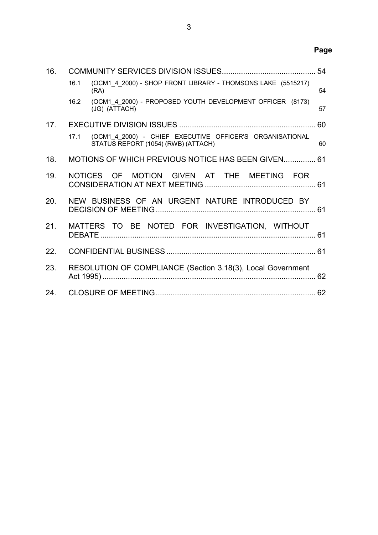| 16. |                                                                                                                    | 54 |
|-----|--------------------------------------------------------------------------------------------------------------------|----|
|     | (OCM1 4 2000) - SHOP FRONT LIBRARY - THOMSONS LAKE (5515217)<br>16.1<br>(RA)                                       | 54 |
|     | (OCM1 4 2000) - PROPOSED YOUTH DEVELOPMENT OFFICER (8173)<br>16.2<br>(JG) (ATTACH)                                 | 57 |
| 17. |                                                                                                                    |    |
|     | (OCM1 4 2000) - CHIEF EXECUTIVE OFFICER'S ORGANISATIONAL<br>17 <sub>1</sub><br>STATUS REPORT (1054) (RWB) (ATTACH) | 60 |
| 18. | MOTIONS OF WHICH PREVIOUS NOTICE HAS BEEN GIVEN 61                                                                 |    |
| 19. | NOTICES OF MOTION GIVEN AT THE MEETING FOR                                                                         |    |
| 20. | NEW BUSINESS OF AN URGENT NATURE INTRODUCED BY                                                                     |    |
| 21. | MATTERS TO BE NOTED FOR INVESTIGATION, WITHOUT                                                                     |    |
| 22. |                                                                                                                    |    |
| 23. | RESOLUTION OF COMPLIANCE (Section 3.18(3), Local Government                                                        |    |
| 24. |                                                                                                                    |    |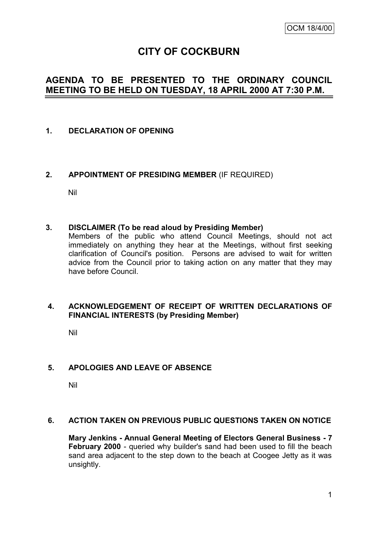# **CITY OF COCKBURN**

# **AGENDA TO BE PRESENTED TO THE ORDINARY COUNCIL MEETING TO BE HELD ON TUESDAY, 18 APRIL 2000 AT 7:30 P.M.**

# **1. DECLARATION OF OPENING**

# **2. APPOINTMENT OF PRESIDING MEMBER** (IF REQUIRED)

Nil

# **3. DISCLAIMER (To be read aloud by Presiding Member)**

Members of the public who attend Council Meetings, should not act immediately on anything they hear at the Meetings, without first seeking clarification of Council's position. Persons are advised to wait for written advice from the Council prior to taking action on any matter that they may have before Council.

# **4. ACKNOWLEDGEMENT OF RECEIPT OF WRITTEN DECLARATIONS OF FINANCIAL INTERESTS (by Presiding Member)**

Nil

# **5. APOLOGIES AND LEAVE OF ABSENCE**

Nil

# **6. ACTION TAKEN ON PREVIOUS PUBLIC QUESTIONS TAKEN ON NOTICE**

**Mary Jenkins - Annual General Meeting of Electors General Business - 7 February 2000** - queried why builder's sand had been used to fill the beach sand area adjacent to the step down to the beach at Coogee Jetty as it was unsightly.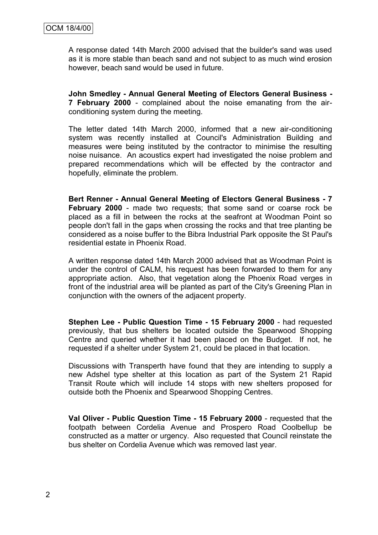A response dated 14th March 2000 advised that the builder's sand was used as it is more stable than beach sand and not subject to as much wind erosion however, beach sand would be used in future.

**John Smedley - Annual General Meeting of Electors General Business - 7 February 2000** - complained about the noise emanating from the airconditioning system during the meeting.

The letter dated 14th March 2000, informed that a new air-conditioning system was recently installed at Council's Administration Building and measures were being instituted by the contractor to minimise the resulting noise nuisance. An acoustics expert had investigated the noise problem and prepared recommendations which will be effected by the contractor and hopefully, eliminate the problem.

**Bert Renner - Annual General Meeting of Electors General Business - 7 February 2000** - made two requests; that some sand or coarse rock be placed as a fill in between the rocks at the seafront at Woodman Point so people don't fall in the gaps when crossing the rocks and that tree planting be considered as a noise buffer to the Bibra Industrial Park opposite the St Paul's residential estate in Phoenix Road.

A written response dated 14th March 2000 advised that as Woodman Point is under the control of CALM, his request has been forwarded to them for any appropriate action. Also, that vegetation along the Phoenix Road verges in front of the industrial area will be planted as part of the City's Greening Plan in conjunction with the owners of the adjacent property.

**Stephen Lee - Public Question Time - 15 February 2000** - had requested previously, that bus shelters be located outside the Spearwood Shopping Centre and queried whether it had been placed on the Budget. If not, he requested if a shelter under System 21, could be placed in that location.

Discussions with Transperth have found that they are intending to supply a new Adshel type shelter at this location as part of the System 21 Rapid Transit Route which will include 14 stops with new shelters proposed for outside both the Phoenix and Spearwood Shopping Centres.

**Val Oliver - Public Question Time - 15 February 2000** - requested that the footpath between Cordelia Avenue and Prospero Road Coolbellup be constructed as a matter or urgency. Also requested that Council reinstate the bus shelter on Cordelia Avenue which was removed last year.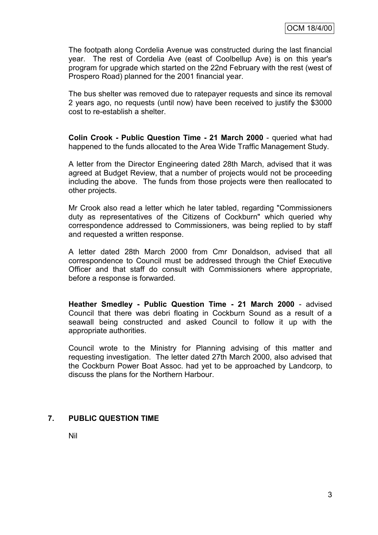The footpath along Cordelia Avenue was constructed during the last financial year. The rest of Cordelia Ave (east of Coolbellup Ave) is on this year's program for upgrade which started on the 22nd February with the rest (west of Prospero Road) planned for the 2001 financial year.

The bus shelter was removed due to ratepayer requests and since its removal 2 years ago, no requests (until now) have been received to justify the \$3000 cost to re-establish a shelter.

**Colin Crook - Public Question Time - 21 March 2000** - queried what had happened to the funds allocated to the Area Wide Traffic Management Study.

A letter from the Director Engineering dated 28th March, advised that it was agreed at Budget Review, that a number of projects would not be proceeding including the above. The funds from those projects were then reallocated to other projects.

Mr Crook also read a letter which he later tabled, regarding "Commissioners duty as representatives of the Citizens of Cockburn" which queried why correspondence addressed to Commissioners, was being replied to by staff and requested a written response.

A letter dated 28th March 2000 from Cmr Donaldson, advised that all correspondence to Council must be addressed through the Chief Executive Officer and that staff do consult with Commissioners where appropriate, before a response is forwarded.

**Heather Smedley - Public Question Time - 21 March 2000** - advised Council that there was debri floating in Cockburn Sound as a result of a seawall being constructed and asked Council to follow it up with the appropriate authorities.

Council wrote to the Ministry for Planning advising of this matter and requesting investigation. The letter dated 27th March 2000, also advised that the Cockburn Power Boat Assoc. had yet to be approached by Landcorp, to discuss the plans for the Northern Harbour.

# **7. PUBLIC QUESTION TIME**

Nil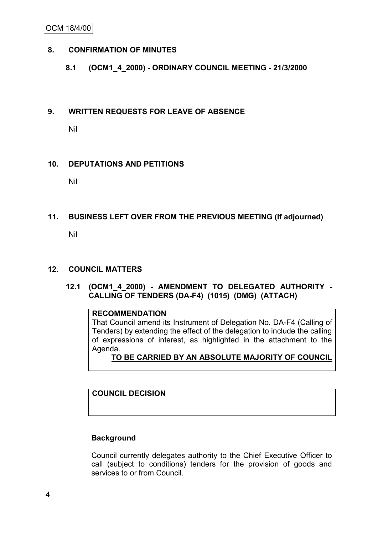OCM 18/4/00

# **8. CONFIRMATION OF MINUTES**

# **8.1 (OCM1\_4\_2000) - ORDINARY COUNCIL MEETING - 21/3/2000**

#### **9. WRITTEN REQUESTS FOR LEAVE OF ABSENCE**

Nil

# **10. DEPUTATIONS AND PETITIONS**

Nil

# **11. BUSINESS LEFT OVER FROM THE PREVIOUS MEETING (If adjourned)**

Nil

# **12. COUNCIL MATTERS**

# **12.1 (OCM1\_4\_2000) - AMENDMENT TO DELEGATED AUTHORITY - CALLING OF TENDERS (DA-F4) (1015) (DMG) (ATTACH)**

# **RECOMMENDATION**

That Council amend its Instrument of Delegation No. DA-F4 (Calling of Tenders) by extending the effect of the delegation to include the calling of expressions of interest, as highlighted in the attachment to the Agenda.

# **TO BE CARRIED BY AN ABSOLUTE MAJORITY OF COUNCIL**

**COUNCIL DECISION**

# **Background**

Council currently delegates authority to the Chief Executive Officer to call (subject to conditions) tenders for the provision of goods and services to or from Council.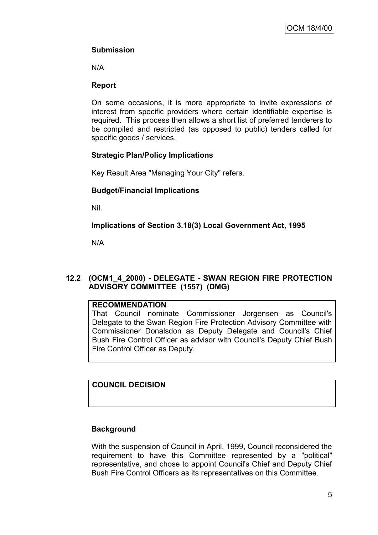# **Submission**

N/A

# **Report**

On some occasions, it is more appropriate to invite expressions of interest from specific providers where certain identifiable expertise is required. This process then allows a short list of preferred tenderers to be compiled and restricted (as opposed to public) tenders called for specific goods / services.

# **Strategic Plan/Policy Implications**

Key Result Area "Managing Your City" refers.

# **Budget/Financial Implications**

Nil.

**Implications of Section 3.18(3) Local Government Act, 1995**

N/A

# **12.2 (OCM1\_4\_2000) - DELEGATE - SWAN REGION FIRE PROTECTION ADVISORY COMMITTEE (1557) (DMG)**

# **RECOMMENDATION**

That Council nominate Commissioner Jorgensen as Council's Delegate to the Swan Region Fire Protection Advisory Committee with Commissioner Donalsdon as Deputy Delegate and Council's Chief Bush Fire Control Officer as advisor with Council's Deputy Chief Bush Fire Control Officer as Deputy.

# **COUNCIL DECISION**

# **Background**

With the suspension of Council in April, 1999, Council reconsidered the requirement to have this Committee represented by a "political" representative, and chose to appoint Council's Chief and Deputy Chief Bush Fire Control Officers as its representatives on this Committee.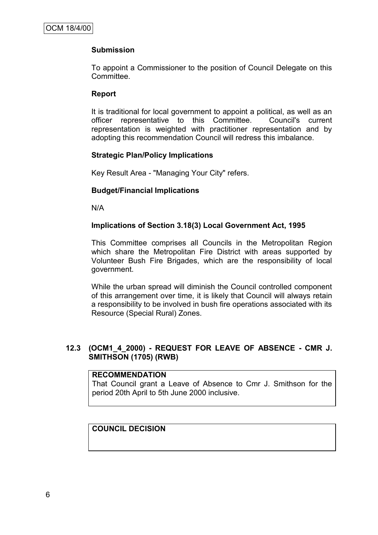# **Submission**

To appoint a Commissioner to the position of Council Delegate on this Committee.

# **Report**

It is traditional for local government to appoint a political, as well as an officer representative to this Committee. Council's current representation is weighted with practitioner representation and by adopting this recommendation Council will redress this imbalance.

# **Strategic Plan/Policy Implications**

Key Result Area - "Managing Your City" refers.

# **Budget/Financial Implications**

N/A

# **Implications of Section 3.18(3) Local Government Act, 1995**

This Committee comprises all Councils in the Metropolitan Region which share the Metropolitan Fire District with areas supported by Volunteer Bush Fire Brigades, which are the responsibility of local government.

While the urban spread will diminish the Council controlled component of this arrangement over time, it is likely that Council will always retain a responsibility to be involved in bush fire operations associated with its Resource (Special Rural) Zones.

# **12.3 (OCM1\_4\_2000) - REQUEST FOR LEAVE OF ABSENCE - CMR J. SMITHSON (1705) (RWB)**

# **RECOMMENDATION**

That Council grant a Leave of Absence to Cmr J. Smithson for the period 20th April to 5th June 2000 inclusive.

# **COUNCIL DECISION**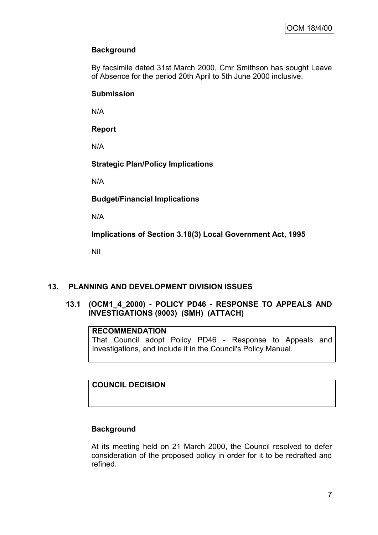# **Background**

By facsimile dated 31st March 2000, Cmr Smithson has sought Leave of Absence for the period 20th April to 5th June 2000 inclusive.

# **Submission**

N/A

**Report**

N/A

**Strategic Plan/Policy Implications**

N/A

**Budget/Financial Implications**

N/A

**Implications of Section 3.18(3) Local Government Act, 1995**

Nil

# **13. PLANNING AND DEVELOPMENT DIVISION ISSUES**

# **13.1 (OCM1\_4\_2000) - POLICY PD46 - RESPONSE TO APPEALS AND INVESTIGATIONS (9003) (SMH) (ATTACH)**

# **RECOMMENDATION**

That Council adopt Policy PD46 - Response to Appeals and Investigations, and include it in the Council's Policy Manual.

# **COUNCIL DECISION**

# **Background**

At its meeting held on 21 March 2000, the Council resolved to defer consideration of the proposed policy in order for it to be redrafted and refined.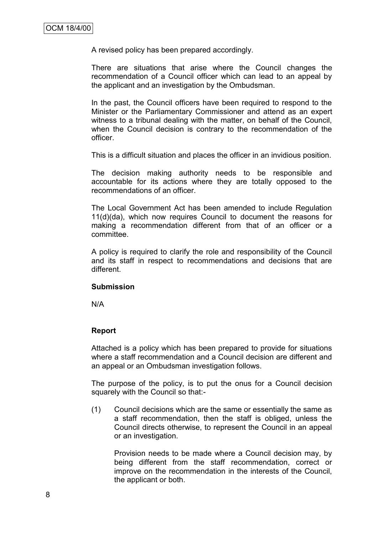A revised policy has been prepared accordingly.

There are situations that arise where the Council changes the recommendation of a Council officer which can lead to an appeal by the applicant and an investigation by the Ombudsman.

In the past, the Council officers have been required to respond to the Minister or the Parliamentary Commissioner and attend as an expert witness to a tribunal dealing with the matter, on behalf of the Council, when the Council decision is contrary to the recommendation of the officer.

This is a difficult situation and places the officer in an invidious position.

The decision making authority needs to be responsible and accountable for its actions where they are totally opposed to the recommendations of an officer.

The Local Government Act has been amended to include Regulation 11(d)(da), which now requires Council to document the reasons for making a recommendation different from that of an officer or a committee.

A policy is required to clarify the role and responsibility of the Council and its staff in respect to recommendations and decisions that are different.

# **Submission**

N/A

# **Report**

Attached is a policy which has been prepared to provide for situations where a staff recommendation and a Council decision are different and an appeal or an Ombudsman investigation follows.

The purpose of the policy, is to put the onus for a Council decision squarely with the Council so that:-

(1) Council decisions which are the same or essentially the same as a staff recommendation, then the staff is obliged, unless the Council directs otherwise, to represent the Council in an appeal or an investigation.

Provision needs to be made where a Council decision may, by being different from the staff recommendation, correct or improve on the recommendation in the interests of the Council, the applicant or both.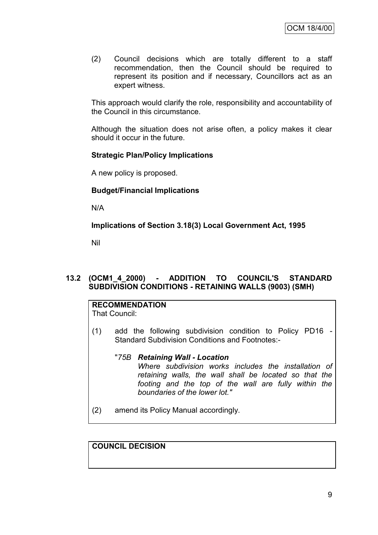(2) Council decisions which are totally different to a staff recommendation, then the Council should be required to represent its position and if necessary, Councillors act as an expert witness.

This approach would clarify the role, responsibility and accountability of the Council in this circumstance.

Although the situation does not arise often, a policy makes it clear should it occur in the future.

#### **Strategic Plan/Policy Implications**

A new policy is proposed.

# **Budget/Financial Implications**

N/A

**Implications of Section 3.18(3) Local Government Act, 1995**

Nil

# **13.2 (OCM1\_4\_2000) - ADDITION TO COUNCIL'S STANDARD SUBDIVISION CONDITIONS - RETAINING WALLS (9003) (SMH)**

# **RECOMMENDATION**

That Council:

- (1) add the following subdivision condition to Policy PD16 Standard Subdivision Conditions and Footnotes:-
	- "*75B Retaining Wall - Location Where subdivision works includes the installation of retaining walls, the wall shall be located so that the footing and the top of the wall are fully within the boundaries of the lower lot."*
- (2) amend its Policy Manual accordingly.

# **COUNCIL DECISION**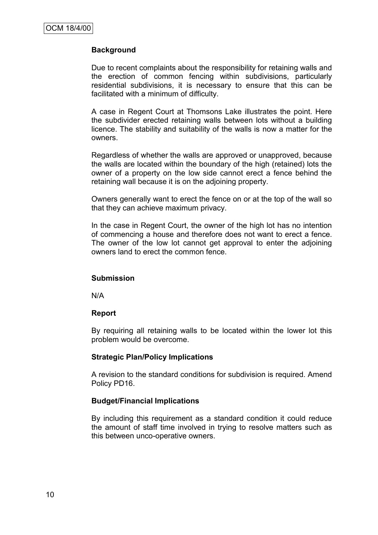# **Background**

Due to recent complaints about the responsibility for retaining walls and the erection of common fencing within subdivisions, particularly residential subdivisions, it is necessary to ensure that this can be facilitated with a minimum of difficulty.

A case in Regent Court at Thomsons Lake illustrates the point. Here the subdivider erected retaining walls between lots without a building licence. The stability and suitability of the walls is now a matter for the owners.

Regardless of whether the walls are approved or unapproved, because the walls are located within the boundary of the high (retained) lots the owner of a property on the low side cannot erect a fence behind the retaining wall because it is on the adjoining property.

Owners generally want to erect the fence on or at the top of the wall so that they can achieve maximum privacy.

In the case in Regent Court, the owner of the high lot has no intention of commencing a house and therefore does not want to erect a fence. The owner of the low lot cannot get approval to enter the adjoining owners land to erect the common fence.

# **Submission**

N/A

# **Report**

By requiring all retaining walls to be located within the lower lot this problem would be overcome.

# **Strategic Plan/Policy Implications**

A revision to the standard conditions for subdivision is required. Amend Policy PD16.

# **Budget/Financial Implications**

By including this requirement as a standard condition it could reduce the amount of staff time involved in trying to resolve matters such as this between unco-operative owners.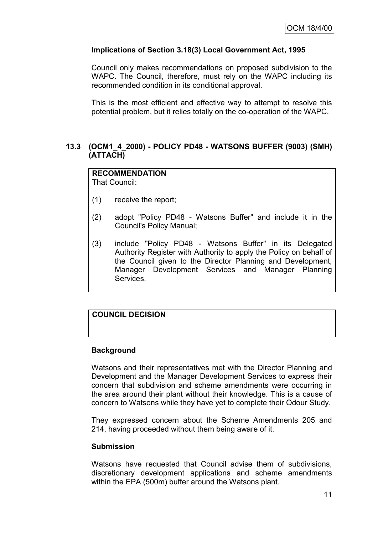# **Implications of Section 3.18(3) Local Government Act, 1995**

Council only makes recommendations on proposed subdivision to the WAPC. The Council, therefore, must rely on the WAPC including its recommended condition in its conditional approval.

This is the most efficient and effective way to attempt to resolve this potential problem, but it relies totally on the co-operation of the WAPC.

# **13.3 (OCM1\_4\_2000) - POLICY PD48 - WATSONS BUFFER (9003) (SMH) (ATTACH)**

# **RECOMMENDATION**

That Council:

- (1) receive the report;
- (2) adopt "Policy PD48 Watsons Buffer" and include it in the Council's Policy Manual;
- (3) include "Policy PD48 Watsons Buffer" in its Delegated Authority Register with Authority to apply the Policy on behalf of the Council given to the Director Planning and Development, Manager Development Services and Manager Planning Services.

# **COUNCIL DECISION**

# **Background**

Watsons and their representatives met with the Director Planning and Development and the Manager Development Services to express their concern that subdivision and scheme amendments were occurring in the area around their plant without their knowledge. This is a cause of concern to Watsons while they have yet to complete their Odour Study.

They expressed concern about the Scheme Amendments 205 and 214, having proceeded without them being aware of it.

# **Submission**

Watsons have requested that Council advise them of subdivisions, discretionary development applications and scheme amendments within the EPA (500m) buffer around the Watsons plant.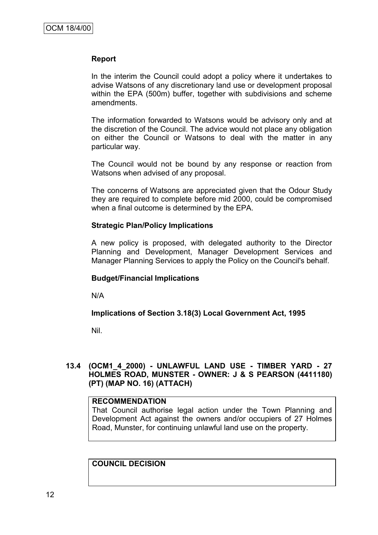#### **Report**

In the interim the Council could adopt a policy where it undertakes to advise Watsons of any discretionary land use or development proposal within the EPA (500m) buffer, together with subdivisions and scheme amendments.

The information forwarded to Watsons would be advisory only and at the discretion of the Council. The advice would not place any obligation on either the Council or Watsons to deal with the matter in any particular way.

The Council would not be bound by any response or reaction from Watsons when advised of any proposal.

The concerns of Watsons are appreciated given that the Odour Study they are required to complete before mid 2000, could be compromised when a final outcome is determined by the EPA.

#### **Strategic Plan/Policy Implications**

A new policy is proposed, with delegated authority to the Director Planning and Development, Manager Development Services and Manager Planning Services to apply the Policy on the Council's behalf.

# **Budget/Financial Implications**

N/A

# **Implications of Section 3.18(3) Local Government Act, 1995**

Nil.

# **13.4 (OCM1\_4\_2000) - UNLAWFUL LAND USE - TIMBER YARD - 27 HOLMES ROAD, MUNSTER - OWNER: J & S PEARSON (4411180) (PT) (MAP NO. 16) (ATTACH)**

# **RECOMMENDATION**

That Council authorise legal action under the Town Planning and Development Act against the owners and/or occupiers of 27 Holmes Road, Munster, for continuing unlawful land use on the property.

**COUNCIL DECISION**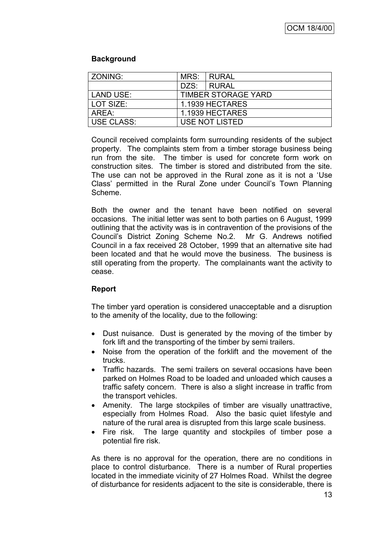# **Background**

| ZONING:           | MRS:                       | I RURAL         |  |  |
|-------------------|----------------------------|-----------------|--|--|
|                   | DZS:                       | <b>RURAL</b>    |  |  |
| LAND USE:         | <b>TIMBER STORAGE YARD</b> |                 |  |  |
| LOT SIZE:         |                            | 1.1939 HECTARES |  |  |
| AREA:             | 1.1939 HECTARES            |                 |  |  |
| <b>USE CLASS:</b> | USE NOT LISTED             |                 |  |  |

Council received complaints form surrounding residents of the subject property. The complaints stem from a timber storage business being run from the site. The timber is used for concrete form work on construction sites. The timber is stored and distributed from the site. The use can not be approved in the Rural zone as it is not a "Use Class" permitted in the Rural Zone under Council"s Town Planning Scheme.

Both the owner and the tenant have been notified on several occasions. The initial letter was sent to both parties on 6 August, 1999 outlining that the activity was is in contravention of the provisions of the Council"s District Zoning Scheme No.2. Mr G. Andrews notified Council in a fax received 28 October, 1999 that an alternative site had been located and that he would move the business. The business is still operating from the property. The complainants want the activity to cease.

# **Report**

The timber yard operation is considered unacceptable and a disruption to the amenity of the locality, due to the following:

- Dust nuisance. Dust is generated by the moving of the timber by fork lift and the transporting of the timber by semi trailers.
- Noise from the operation of the forklift and the movement of the trucks.
- Traffic hazards. The semi trailers on several occasions have been parked on Holmes Road to be loaded and unloaded which causes a traffic safety concern. There is also a slight increase in traffic from the transport vehicles.
- Amenity. The large stockpiles of timber are visually unattractive, especially from Holmes Road. Also the basic quiet lifestyle and nature of the rural area is disrupted from this large scale business.
- Fire risk. The large quantity and stockpiles of timber pose a potential fire risk.

As there is no approval for the operation, there are no conditions in place to control disturbance. There is a number of Rural properties located in the immediate vicinity of 27 Holmes Road. Whilst the degree of disturbance for residents adjacent to the site is considerable, there is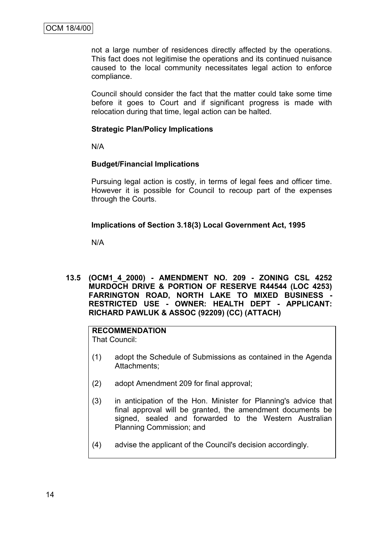not a large number of residences directly affected by the operations. This fact does not legitimise the operations and its continued nuisance caused to the local community necessitates legal action to enforce compliance.

Council should consider the fact that the matter could take some time before it goes to Court and if significant progress is made with relocation during that time, legal action can be halted.

# **Strategic Plan/Policy Implications**

N/A

# **Budget/Financial Implications**

Pursuing legal action is costly, in terms of legal fees and officer time. However it is possible for Council to recoup part of the expenses through the Courts.

# **Implications of Section 3.18(3) Local Government Act, 1995**

N/A

**13.5 (OCM1\_4\_2000) - AMENDMENT NO. 209 - ZONING CSL 4252 MURDOCH DRIVE & PORTION OF RESERVE R44544 (LOC 4253) FARRINGTON ROAD, NORTH LAKE TO MIXED BUSINESS - RESTRICTED USE - OWNER: HEALTH DEPT - APPLICANT: RICHARD PAWLUK & ASSOC (92209) (CC) (ATTACH)**

# **RECOMMENDATION**

That Council:

- (1) adopt the Schedule of Submissions as contained in the Agenda Attachments;
- (2) adopt Amendment 209 for final approval;
- (3) in anticipation of the Hon. Minister for Planning's advice that final approval will be granted, the amendment documents be signed, sealed and forwarded to the Western Australian Planning Commission; and
- (4) advise the applicant of the Council's decision accordingly.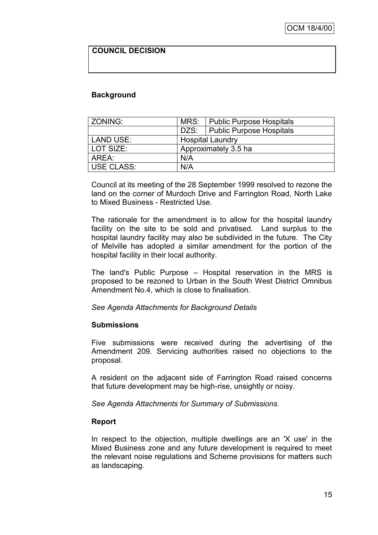# **COUNCIL DECISION**

#### **Background**

| ZONING:    |                         | MRS:   Public Purpose Hospitals |  |  |
|------------|-------------------------|---------------------------------|--|--|
|            |                         | DZS:   Public Purpose Hospitals |  |  |
| LAND USE:  | <b>Hospital Laundry</b> |                                 |  |  |
| LOT SIZE:  |                         | Approximately 3.5 ha            |  |  |
| AREA:      | N/A                     |                                 |  |  |
| USE CLASS: | N/A                     |                                 |  |  |

Council at its meeting of the 28 September 1999 resolved to rezone the land on the corner of Murdoch Drive and Farrington Road, North Lake to Mixed Business - Restricted Use.

The rationale for the amendment is to allow for the hospital laundry facility on the site to be sold and privatised. Land surplus to the hospital laundry facility may also be subdivided in the future. The City of Melville has adopted a similar amendment for the portion of the hospital facility in their local authority.

The land's Public Purpose – Hospital reservation in the MRS is proposed to be rezoned to Urban in the South West District Omnibus Amendment No.4, which is close to finalisation.

#### *See Agenda Attachments for Background Details*

#### **Submissions**

Five submissions were received during the advertising of the Amendment 209. Servicing authorities raised no objections to the proposal.

A resident on the adjacent side of Farrington Road raised concerns that future development may be high-rise, unsightly or noisy.

*See Agenda Attachments for Summary of Submissions.*

# **Report**

In respect to the objection, multiple dwellings are an 'X use' in the Mixed Business zone and any future development is required to meet the relevant noise regulations and Scheme provisions for matters such as landscaping.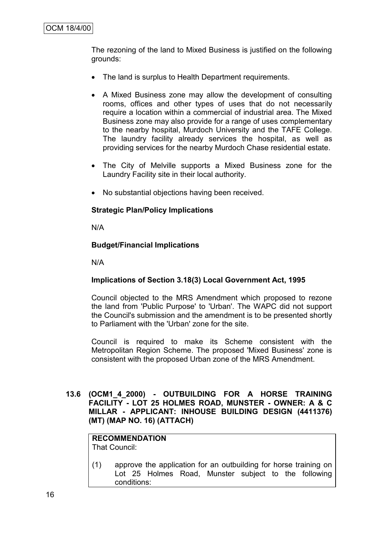The rezoning of the land to Mixed Business is justified on the following grounds:

- The land is surplus to Health Department requirements.
- A Mixed Business zone may allow the development of consulting rooms, offices and other types of uses that do not necessarily require a location within a commercial of industrial area. The Mixed Business zone may also provide for a range of uses complementary to the nearby hospital, Murdoch University and the TAFE College. The laundry facility already services the hospital, as well as providing services for the nearby Murdoch Chase residential estate.
- The City of Melville supports a Mixed Business zone for the Laundry Facility site in their local authority.
- No substantial objections having been received.

# **Strategic Plan/Policy Implications**

N/A

# **Budget/Financial Implications**

N/A

# **Implications of Section 3.18(3) Local Government Act, 1995**

Council objected to the MRS Amendment which proposed to rezone the land from 'Public Purpose' to 'Urban'. The WAPC did not support the Council's submission and the amendment is to be presented shortly to Parliament with the 'Urban' zone for the site.

Council is required to make its Scheme consistent with the Metropolitan Region Scheme. The proposed 'Mixed Business' zone is consistent with the proposed Urban zone of the MRS Amendment.

# **13.6 (OCM1\_4\_2000) - OUTBUILDING FOR A HORSE TRAINING FACILITY - LOT 25 HOLMES ROAD, MUNSTER - OWNER: A & C MILLAR - APPLICANT: INHOUSE BUILDING DESIGN (4411376) (MT) (MAP NO. 16) (ATTACH)**

#### **RECOMMENDATION** That Council:

(1) approve the application for an outbuilding for horse training on Lot 25 Holmes Road, Munster subject to the following conditions: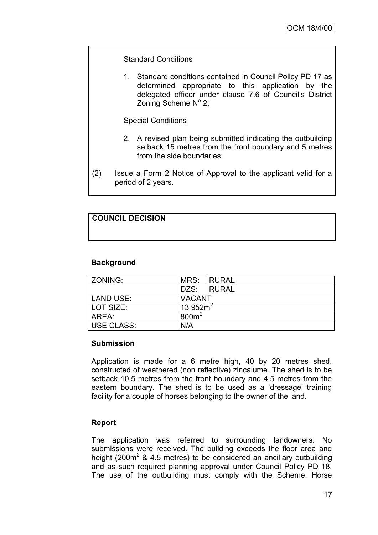# Standard Conditions

1. Standard conditions contained in Council Policy PD 17 as determined appropriate to this application by the delegated officer under clause 7.6 of Council"s District Zoning Scheme Nº 2;

Special Conditions

- 2. A revised plan being submitted indicating the outbuilding setback 15 metres from the front boundary and 5 metres from the side boundaries;
- (2) Issue a Form 2 Notice of Approval to the applicant valid for a period of 2 years.

# **COUNCIL DECISION**

# **Background**

| ZONING:           | MRS:             | <b>RURAL</b> |  |
|-------------------|------------------|--------------|--|
|                   | DZS:             | <b>RURAL</b> |  |
| <b>LAND USE:</b>  | <b>VACANT</b>    |              |  |
| l LOT SIZE:       | 13 952 $m2$      |              |  |
| AREA:             | 800 <sup>2</sup> |              |  |
| <b>USE CLASS:</b> | N/A              |              |  |

# **Submission**

Application is made for a 6 metre high, 40 by 20 metres shed, constructed of weathered (non reflective) zincalume. The shed is to be setback 10.5 metres from the front boundary and 4.5 metres from the eastern boundary. The shed is to be used as a 'dressage' training facility for a couple of horses belonging to the owner of the land.

# **Report**

The application was referred to surrounding landowners. No submissions were received. The building exceeds the floor area and height (200 $m<sup>2</sup>$  & 4.5 metres) to be considered an ancillary outbuilding and as such required planning approval under Council Policy PD 18. The use of the outbuilding must comply with the Scheme. Horse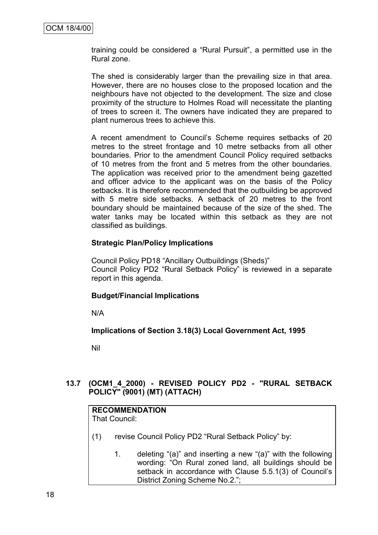training could be considered a "Rural Pursuit", a permitted use in the Rural zone.

The shed is considerably larger than the prevailing size in that area. However, there are no houses close to the proposed location and the neighbours have not objected to the development. The size and close proximity of the structure to Holmes Road will necessitate the planting of trees to screen it. The owners have indicated they are prepared to plant numerous trees to achieve this.

A recent amendment to Council"s Scheme requires setbacks of 20 metres to the street frontage and 10 metre setbacks from all other boundaries. Prior to the amendment Council Policy required setbacks of 10 metres from the front and 5 metres from the other boundaries. The application was received prior to the amendment being gazetted and officer advice to the applicant was on the basis of the Policy setbacks. It is therefore recommended that the outbuilding be approved with 5 metre side setbacks. A setback of 20 metres to the front boundary should be maintained because of the size of the shed. The water tanks may be located within this setback as they are not classified as buildings.

# **Strategic Plan/Policy Implications**

Council Policy PD18 "Ancillary Outbuildings (Sheds)" Council Policy PD2 "Rural Setback Policy" is reviewed in a separate report in this agenda.

# **Budget/Financial Implications**

N/A

# **Implications of Section 3.18(3) Local Government Act, 1995**

Nil

# **13.7 (OCM1\_4\_2000) - REVISED POLICY PD2 - "RURAL SETBACK POLICY" (9001) (MT) (ATTACH)**

# **RECOMMENDATION**

That Council:

- (1) revise Council Policy PD2 "Rural Setback Policy" by:
	- 1. deleting "(a)" and inserting a new "(a)" with the following wording: "On Rural zoned land, all buildings should be setback in accordance with Clause 5.5.1(3) of Council's District Zoning Scheme No.2.";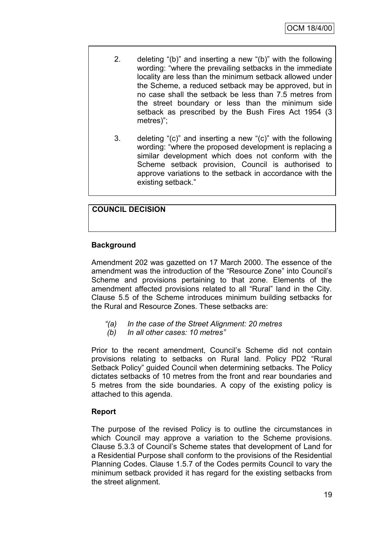- 2. deleting "(b)" and inserting a new "(b)" with the following wording: "where the prevailing setbacks in the immediate locality are less than the minimum setback allowed under the Scheme, a reduced setback may be approved, but in no case shall the setback be less than 7.5 metres from the street boundary or less than the minimum side setback as prescribed by the Bush Fires Act 1954 (3 metres)";
- 3. deleting "(c)" and inserting a new "(c)" with the following wording: "where the proposed development is replacing a similar development which does not conform with the Scheme setback provision, Council is authorised to approve variations to the setback in accordance with the existing setback."

# **COUNCIL DECISION**

# **Background**

Amendment 202 was gazetted on 17 March 2000. The essence of the amendment was the introduction of the "Resource Zone" into Council"s Scheme and provisions pertaining to that zone. Elements of the amendment affected provisions related to all "Rural" land in the City. Clause 5.5 of the Scheme introduces minimum building setbacks for the Rural and Resource Zones. These setbacks are:

- *"(a) In the case of the Street Alignment: 20 metres*
- *(b) In all other cases: 10 metres"*

Prior to the recent amendment, Council's Scheme did not contain provisions relating to setbacks on Rural land. Policy PD2 "Rural Setback Policy" guided Council when determining setbacks. The Policy dictates setbacks of 10 metres from the front and rear boundaries and 5 metres from the side boundaries. A copy of the existing policy is attached to this agenda.

# **Report**

The purpose of the revised Policy is to outline the circumstances in which Council may approve a variation to the Scheme provisions. Clause 5.3.3 of Council"s Scheme states that development of Land for a Residential Purpose shall conform to the provisions of the Residential Planning Codes. Clause 1.5.7 of the Codes permits Council to vary the minimum setback provided it has regard for the existing setbacks from the street alignment.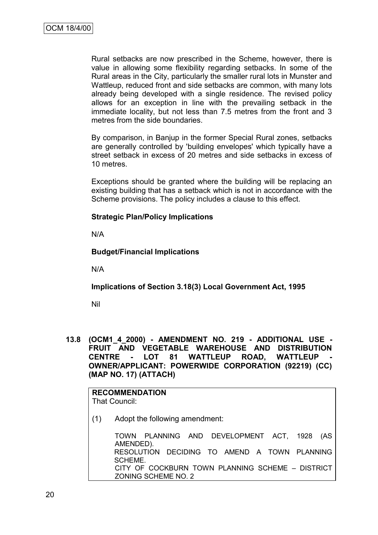Rural setbacks are now prescribed in the Scheme, however, there is value in allowing some flexibility regarding setbacks. In some of the Rural areas in the City, particularly the smaller rural lots in Munster and Wattleup, reduced front and side setbacks are common, with many lots already being developed with a single residence. The revised policy allows for an exception in line with the prevailing setback in the immediate locality, but not less than 7.5 metres from the front and 3 metres from the side boundaries.

By comparison, in Banjup in the former Special Rural zones, setbacks are generally controlled by 'building envelopes' which typically have a street setback in excess of 20 metres and side setbacks in excess of 10 metres.

Exceptions should be granted where the building will be replacing an existing building that has a setback which is not in accordance with the Scheme provisions. The policy includes a clause to this effect.

# **Strategic Plan/Policy Implications**

N/A

# **Budget/Financial Implications**

N/A

# **Implications of Section 3.18(3) Local Government Act, 1995**

Nil

**13.8 (OCM1\_4\_2000) - AMENDMENT NO. 219 - ADDITIONAL USE - FRUIT AND VEGETABLE WAREHOUSE AND DISTRIBUTION CENTRE - LOT 81 WATTLEUP ROAD, WATTLEUP - OWNER/APPLICANT: POWERWIDE CORPORATION (92219) (CC) (MAP NO. 17) (ATTACH)**

**RECOMMENDATION** That Council:

(1) Adopt the following amendment:

TOWN PLANNING AND DEVELOPMENT ACT, 1928 (AS AMENDED). RESOLUTION DECIDING TO AMEND A TOWN PLANNING SCHEME. CITY OF COCKBURN TOWN PLANNING SCHEME – DISTRICT ZONING SCHEME NO. 2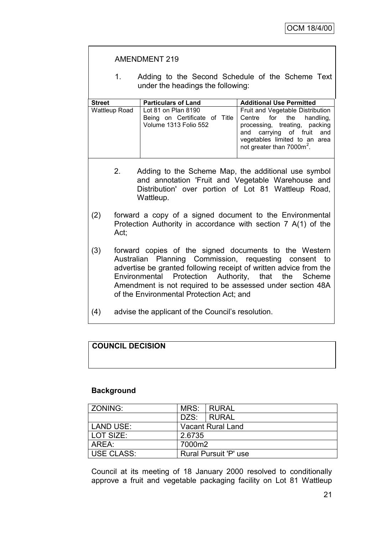|               |                                                                                                                                                                                                                                                                                                                                                      | <b>AMENDMENT 219</b>                                                                                                                                                         |                                                                                                                                                                                                               |  |  |
|---------------|------------------------------------------------------------------------------------------------------------------------------------------------------------------------------------------------------------------------------------------------------------------------------------------------------------------------------------------------------|------------------------------------------------------------------------------------------------------------------------------------------------------------------------------|---------------------------------------------------------------------------------------------------------------------------------------------------------------------------------------------------------------|--|--|
|               | 1.                                                                                                                                                                                                                                                                                                                                                   | Adding to the Second Schedule of the Scheme Text<br>under the headings the following:                                                                                        |                                                                                                                                                                                                               |  |  |
| <b>Street</b> |                                                                                                                                                                                                                                                                                                                                                      | <b>Particulars of Land</b>                                                                                                                                                   | <b>Additional Use Permitted</b>                                                                                                                                                                               |  |  |
| Wattleup Road |                                                                                                                                                                                                                                                                                                                                                      | Lot 81 on Plan 8190<br>Being on Certificate of Title<br>Volume 1313 Folio 552                                                                                                | Fruit and Vegetable Distribution<br>the<br>handling,<br>Centre for<br>processing, treating, packing<br>carrying of fruit and<br>and<br>vegetables limited to an area<br>not greater than 7000m <sup>2</sup> . |  |  |
|               | 2.                                                                                                                                                                                                                                                                                                                                                   | Adding to the Scheme Map, the additional use symbol<br>and annotation 'Fruit and Vegetable Warehouse and<br>Distribution' over portion of Lot 81 Wattleup Road,<br>Wattleup. |                                                                                                                                                                                                               |  |  |
| (2)           | forward a copy of a signed document to the Environmental<br>Protection Authority in accordance with section 7 A(1) of the<br>Act,                                                                                                                                                                                                                    |                                                                                                                                                                              |                                                                                                                                                                                                               |  |  |
| (3)           | forward copies of the signed documents to the Western<br>Australian Planning Commission, requesting consent to<br>advertise be granted following receipt of written advice from the<br>Environmental Protection Authority, that the Scheme<br>Amendment is not required to be assessed under section 48A<br>of the Environmental Protection Act; and |                                                                                                                                                                              |                                                                                                                                                                                                               |  |  |
| (4)           |                                                                                                                                                                                                                                                                                                                                                      | advise the applicant of the Council's resolution.                                                                                                                            |                                                                                                                                                                                                               |  |  |

# **COUNCIL DECISION**

# **Background**

| ZONING:    | MRS:                         | I RURAL    |  |
|------------|------------------------------|------------|--|
|            |                              | DZS: RURAL |  |
| LAND USE:  | <b>Vacant Rural Land</b>     |            |  |
| LOT SIZE:  | 2.6735                       |            |  |
| AREA:      | 7000m2                       |            |  |
| USE CLASS: | <b>Rural Pursuit 'P' use</b> |            |  |

Council at its meeting of 18 January 2000 resolved to conditionally approve a fruit and vegetable packaging facility on Lot 81 Wattleup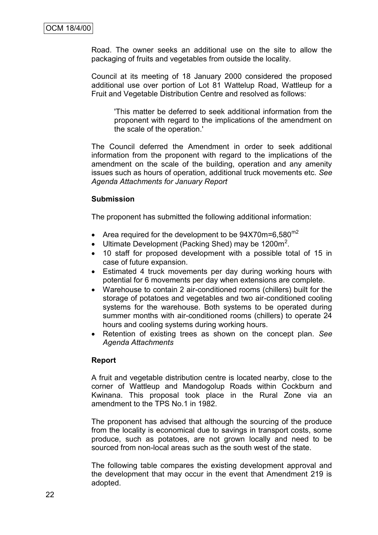Road. The owner seeks an additional use on the site to allow the packaging of fruits and vegetables from outside the locality.

Council at its meeting of 18 January 2000 considered the proposed additional use over portion of Lot 81 Wattelup Road, Wattleup for a Fruit and Vegetable Distribution Centre and resolved as follows:

'This matter be deferred to seek additional information from the proponent with regard to the implications of the amendment on the scale of the operation.'

The Council deferred the Amendment in order to seek additional information from the proponent with regard to the implications of the amendment on the scale of the building, operation and any amenity issues such as hours of operation, additional truck movements etc. *See Agenda Attachments for January Report*

#### **Submission**

The proponent has submitted the following additional information:

- Area required for the development to be  $94X70m=6.580^{m2}$
- Ultimate Development (Packing Shed) may be 1200 $m^2$ .
- 10 staff for proposed development with a possible total of 15 in case of future expansion.
- Estimated 4 truck movements per day during working hours with potential for 6 movements per day when extensions are complete.
- Warehouse to contain 2 air-conditioned rooms (chillers) built for the storage of potatoes and vegetables and two air-conditioned cooling systems for the warehouse. Both systems to be operated during summer months with air-conditioned rooms (chillers) to operate 24 hours and cooling systems during working hours.
- Retention of existing trees as shown on the concept plan. *See Agenda Attachments*

# **Report**

A fruit and vegetable distribution centre is located nearby, close to the corner of Wattleup and Mandogolup Roads within Cockburn and Kwinana. This proposal took place in the Rural Zone via an amendment to the TPS No.1 in 1982.

The proponent has advised that although the sourcing of the produce from the locality is economical due to savings in transport costs, some produce, such as potatoes, are not grown locally and need to be sourced from non-local areas such as the south west of the state.

The following table compares the existing development approval and the development that may occur in the event that Amendment 219 is adopted.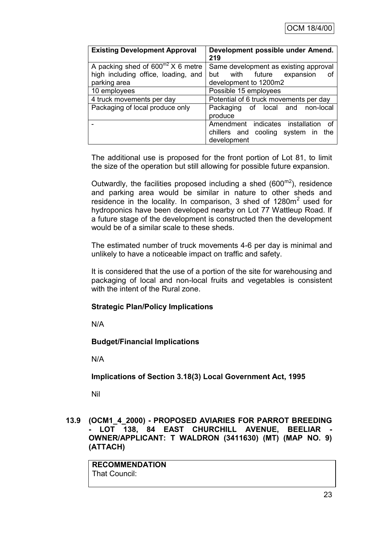| <b>Existing Development Approval</b>   | Development possible under Amend.<br>219 |  |  |
|----------------------------------------|------------------------------------------|--|--|
| A packing shed of $600^{m2}$ X 6 metre | Same development as existing approval    |  |  |
| high including office, loading, and    | with future<br>expansion<br>but<br>Ωf    |  |  |
| parking area                           | development to 1200m2                    |  |  |
| 10 employees                           | Possible 15 employees                    |  |  |
| 4 truck movements per day              | Potential of 6 truck movements per day   |  |  |
| Packaging of local produce only        | Packaging of local and non-local         |  |  |
|                                        | produce                                  |  |  |
|                                        | Amendment indicates installation<br>ാ f  |  |  |
|                                        | chillers and cooling system in<br>the    |  |  |
|                                        | development                              |  |  |

The additional use is proposed for the front portion of Lot 81, to limit the size of the operation but still allowing for possible future expansion.

Outwardly, the facilities proposed including a shed  $(600<sup>m2</sup>)$ , residence and parking area would be similar in nature to other sheds and residence in the locality. In comparison, 3 shed of  $1280m^2$  used for hydroponics have been developed nearby on Lot 77 Wattleup Road. If a future stage of the development is constructed then the development would be of a similar scale to these sheds.

The estimated number of truck movements 4-6 per day is minimal and unlikely to have a noticeable impact on traffic and safety.

It is considered that the use of a portion of the site for warehousing and packaging of local and non-local fruits and vegetables is consistent with the intent of the Rural zone.

# **Strategic Plan/Policy Implications**

N/A

# **Budget/Financial Implications**

N/A

**Implications of Section 3.18(3) Local Government Act, 1995**

Nil

**13.9 (OCM1\_4\_2000) - PROPOSED AVIARIES FOR PARROT BREEDING**  LOT 138, 84 EAST CHURCHILL AVENUE, BEELIAR **OWNER/APPLICANT: T WALDRON (3411630) (MT) (MAP NO. 9) (ATTACH)**

**RECOMMENDATION** That Council: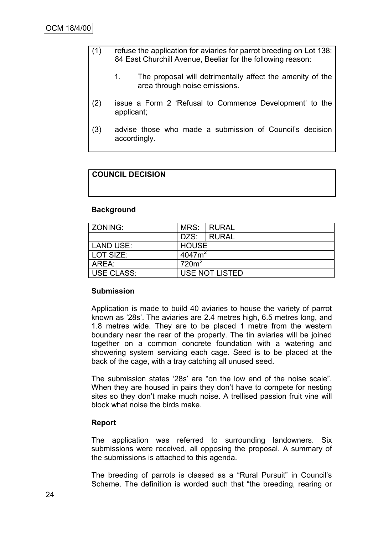- (1) refuse the application for aviaries for parrot breeding on Lot 138; 84 East Churchill Avenue, Beeliar for the following reason:
	- 1. The proposal will detrimentally affect the amenity of the area through noise emissions.
- (2) issue a Form 2 "Refusal to Commence Development" to the applicant;
- (3) advise those who made a submission of Council"s decision accordingly.

# **COUNCIL DECISION**

#### **Background**

| ZONING:           | MRS:              | I RURAL               |  |
|-------------------|-------------------|-----------------------|--|
|                   | DZS:              | <b>RURAL</b>          |  |
| <b>LAND USE:</b>  | <b>HOUSE</b>      |                       |  |
| LOT SIZE:         | $4047m^2$         |                       |  |
| AREA:             | 720m <sup>2</sup> |                       |  |
| <b>USE CLASS:</b> |                   | <b>USE NOT LISTED</b> |  |

#### **Submission**

Application is made to build 40 aviaries to house the variety of parrot known as "28s". The aviaries are 2.4 metres high, 6.5 metres long, and 1.8 metres wide. They are to be placed 1 metre from the western boundary near the rear of the property. The tin aviaries will be joined together on a common concrete foundation with a watering and showering system servicing each cage. Seed is to be placed at the back of the cage, with a tray catching all unused seed.

The submission states "28s" are "on the low end of the noise scale". When they are housed in pairs they don"t have to compete for nesting sites so they don't make much noise. A trellised passion fruit vine will block what noise the birds make.

#### **Report**

The application was referred to surrounding landowners. Six submissions were received, all opposing the proposal. A summary of the submissions is attached to this agenda.

The breeding of parrots is classed as a "Rural Pursuit" in Council"s Scheme. The definition is worded such that "the breeding, rearing or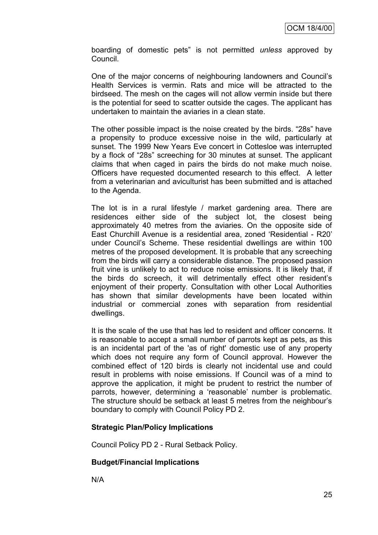boarding of domestic pets" is not permitted *unless* approved by Council.

One of the major concerns of neighbouring landowners and Council"s Health Services is vermin. Rats and mice will be attracted to the birdseed. The mesh on the cages will not allow vermin inside but there is the potential for seed to scatter outside the cages. The applicant has undertaken to maintain the aviaries in a clean state.

The other possible impact is the noise created by the birds. "28s" have a propensity to produce excessive noise in the wild, particularly at sunset. The 1999 New Years Eve concert in Cottesloe was interrupted by a flock of "28s" screeching for 30 minutes at sunset. The applicant claims that when caged in pairs the birds do not make much noise. Officers have requested documented research to this effect. A letter from a veterinarian and aviculturist has been submitted and is attached to the Agenda.

The lot is in a rural lifestyle / market gardening area. There are residences either side of the subject lot, the closest being approximately 40 metres from the aviaries. On the opposite side of East Churchill Avenue is a residential area, zoned "Residential - R20" under Council"s Scheme. These residential dwellings are within 100 metres of the proposed development. It is probable that any screeching from the birds will carry a considerable distance. The proposed passion fruit vine is unlikely to act to reduce noise emissions. It is likely that, if the birds do screech, it will detrimentally effect other resident"s enjoyment of their property. Consultation with other Local Authorities has shown that similar developments have been located within industrial or commercial zones with separation from residential dwellings.

It is the scale of the use that has led to resident and officer concerns. It is reasonable to accept a small number of parrots kept as pets, as this is an incidental part of the 'as of right' domestic use of any property which does not require any form of Council approval. However the combined effect of 120 birds is clearly not incidental use and could result in problems with noise emissions. If Council was of a mind to approve the application, it might be prudent to restrict the number of parrots, however, determining a "reasonable" number is problematic. The structure should be setback at least 5 metres from the neighbour"s boundary to comply with Council Policy PD 2.

#### **Strategic Plan/Policy Implications**

Council Policy PD 2 - Rural Setback Policy.

#### **Budget/Financial Implications**

N/A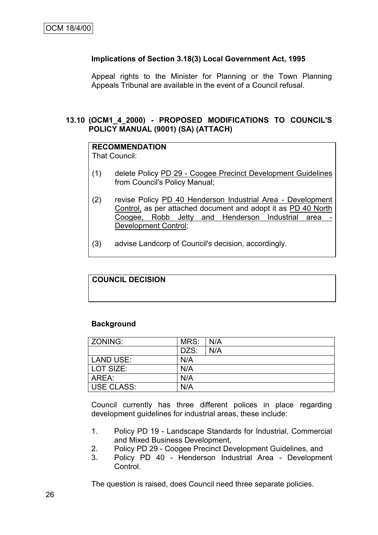# **Implications of Section 3.18(3) Local Government Act, 1995**

Appeal rights to the Minister for Planning or the Town Planning Appeals Tribunal are available in the event of a Council refusal.

# **13.10 (OCM1\_4\_2000) - PROPOSED MODIFICATIONS TO COUNCIL'S POLICY MANUAL (9001) (SA) (ATTACH)**

# **RECOMMENDATION**

That Council:

- (1) delete Policy PD 29 Coogee Precinct Development Guidelines from Council's Policy Manual;
- (2) revise Policy PD 40 Henderson Industrial Area Development Control, as per attached document and adopt it as PD 40 North Coogee, Robb Jetty and Henderson Industrial area -Development Control;
- (3) advise Landcorp of Council's decision, accordingly.

# **COUNCIL DECISION**

# **Background**

| l ZONING:  | MRS: | N/A |
|------------|------|-----|
|            | DZS: | N/A |
| LAND USE:  | N/A  |     |
| LOT SIZE:  | N/A  |     |
| AREA:      | N/A  |     |
| USE CLASS: | N/A  |     |

Council currently has three different polices in place regarding development guidelines for industrial areas, these include:

- 1. Policy PD 19 Landscape Standards for Industrial, Commercial and Mixed Business Development,
- 2. Policy PD 29 Coogee Precinct Development Guidelines, and
- 3. Policy PD 40 Henderson Industrial Area Development Control.

The question is raised, does Council need three separate policies.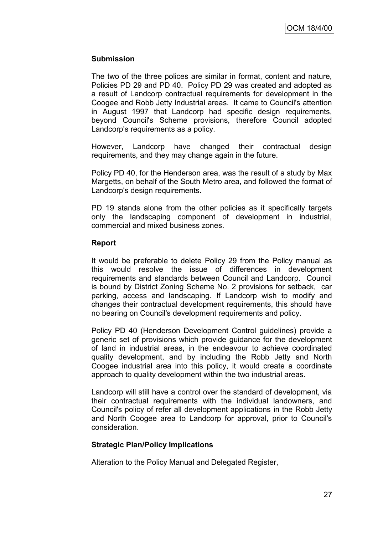# **Submission**

The two of the three polices are similar in format, content and nature, Policies PD 29 and PD 40. Policy PD 29 was created and adopted as a result of Landcorp contractual requirements for development in the Coogee and Robb Jetty Industrial areas. It came to Council's attention in August 1997 that Landcorp had specific design requirements, beyond Council's Scheme provisions, therefore Council adopted Landcorp's requirements as a policy.

However, Landcorp have changed their contractual design requirements, and they may change again in the future.

Policy PD 40, for the Henderson area, was the result of a study by Max Margetts, on behalf of the South Metro area, and followed the format of Landcorp's design requirements.

PD 19 stands alone from the other policies as it specifically targets only the landscaping component of development in industrial, commercial and mixed business zones.

# **Report**

It would be preferable to delete Policy 29 from the Policy manual as this would resolve the issue of differences in development requirements and standards between Council and Landcorp. Council is bound by District Zoning Scheme No. 2 provisions for setback, car parking, access and landscaping. If Landcorp wish to modify and changes their contractual development requirements, this should have no bearing on Council's development requirements and policy.

Policy PD 40 (Henderson Development Control guidelines) provide a generic set of provisions which provide guidance for the development of land in industrial areas, in the endeavour to achieve coordinated quality development, and by including the Robb Jetty and North Coogee industrial area into this policy, it would create a coordinate approach to quality development within the two industrial areas.

Landcorp will still have a control over the standard of development, via their contractual requirements with the individual landowners, and Council's policy of refer all development applications in the Robb Jetty and North Coogee area to Landcorp for approval, prior to Council's consideration.

# **Strategic Plan/Policy Implications**

Alteration to the Policy Manual and Delegated Register,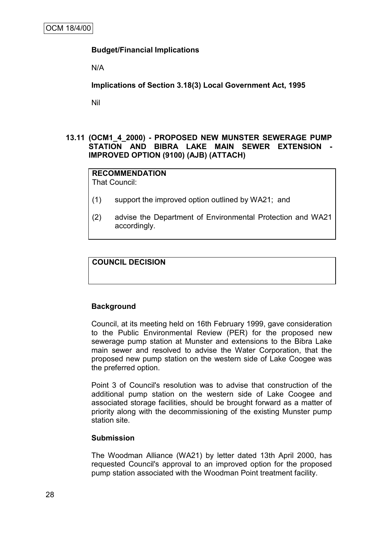# **Budget/Financial Implications**

N/A

**Implications of Section 3.18(3) Local Government Act, 1995**

Nil

# **13.11 (OCM1\_4\_2000) - PROPOSED NEW MUNSTER SEWERAGE PUMP STATION AND BIBRA LAKE MAIN SEWER EXTENSION - IMPROVED OPTION (9100) (AJB) (ATTACH)**

#### **RECOMMENDATION** That Council:

(1) support the improved option outlined by WA21; and

(2) advise the Department of Environmental Protection and WA21 accordingly.

# **COUNCIL DECISION**

# **Background**

Council, at its meeting held on 16th February 1999, gave consideration to the Public Environmental Review (PER) for the proposed new sewerage pump station at Munster and extensions to the Bibra Lake main sewer and resolved to advise the Water Corporation, that the proposed new pump station on the western side of Lake Coogee was the preferred option.

Point 3 of Council's resolution was to advise that construction of the additional pump station on the western side of Lake Coogee and associated storage facilities, should be brought forward as a matter of priority along with the decommissioning of the existing Munster pump station site.

# **Submission**

The Woodman Alliance (WA21) by letter dated 13th April 2000, has requested Council's approval to an improved option for the proposed pump station associated with the Woodman Point treatment facility.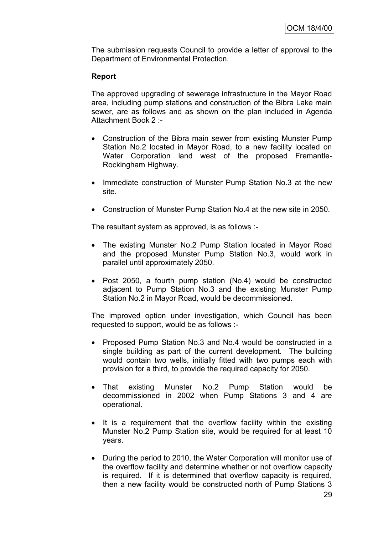The submission requests Council to provide a letter of approval to the Department of Environmental Protection.

# **Report**

The approved upgrading of sewerage infrastructure in the Mayor Road area, including pump stations and construction of the Bibra Lake main sewer, are as follows and as shown on the plan included in Agenda Attachment Book 2 :-

- Construction of the Bibra main sewer from existing Munster Pump Station No.2 located in Mayor Road, to a new facility located on Water Corporation land west of the proposed Fremantle-Rockingham Highway.
- Immediate construction of Munster Pump Station No.3 at the new site.
- Construction of Munster Pump Station No.4 at the new site in 2050.

The resultant system as approved, is as follows :-

- The existing Munster No.2 Pump Station located in Mayor Road and the proposed Munster Pump Station No.3, would work in parallel until approximately 2050.
- Post 2050, a fourth pump station (No.4) would be constructed adjacent to Pump Station No.3 and the existing Munster Pump Station No.2 in Mayor Road, would be decommissioned.

The improved option under investigation, which Council has been requested to support, would be as follows :-

- Proposed Pump Station No.3 and No.4 would be constructed in a single building as part of the current development. The building would contain two wells, initially fitted with two pumps each with provision for a third, to provide the required capacity for 2050.
- That existing Munster No.2 Pump Station would be decommissioned in 2002 when Pump Stations 3 and 4 are operational.
- It is a requirement that the overflow facility within the existing Munster No.2 Pump Station site, would be required for at least 10 years.
- During the period to 2010, the Water Corporation will monitor use of the overflow facility and determine whether or not overflow capacity is required. If it is determined that overflow capacity is required, then a new facility would be constructed north of Pump Stations 3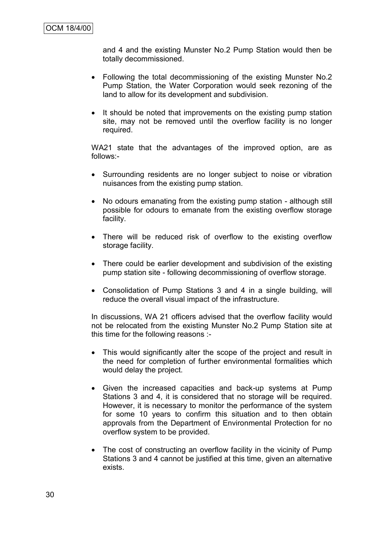and 4 and the existing Munster No.2 Pump Station would then be totally decommissioned.

- Following the total decommissioning of the existing Munster No.2 Pump Station, the Water Corporation would seek rezoning of the land to allow for its development and subdivision.
- It should be noted that improvements on the existing pump station site, may not be removed until the overflow facility is no longer required.

WA21 state that the advantages of the improved option, are as follows:-

- Surrounding residents are no longer subject to noise or vibration nuisances from the existing pump station.
- No odours emanating from the existing pump station although still possible for odours to emanate from the existing overflow storage facility.
- There will be reduced risk of overflow to the existing overflow storage facility.
- There could be earlier development and subdivision of the existing pump station site - following decommissioning of overflow storage.
- Consolidation of Pump Stations 3 and 4 in a single building, will reduce the overall visual impact of the infrastructure.

In discussions, WA 21 officers advised that the overflow facility would not be relocated from the existing Munster No.2 Pump Station site at this time for the following reasons :-

- This would significantly alter the scope of the project and result in the need for completion of further environmental formalities which would delay the project.
- Given the increased capacities and back-up systems at Pump Stations 3 and 4, it is considered that no storage will be required. However, it is necessary to monitor the performance of the system for some 10 years to confirm this situation and to then obtain approvals from the Department of Environmental Protection for no overflow system to be provided.
- The cost of constructing an overflow facility in the vicinity of Pump Stations 3 and 4 cannot be justified at this time, given an alternative exists.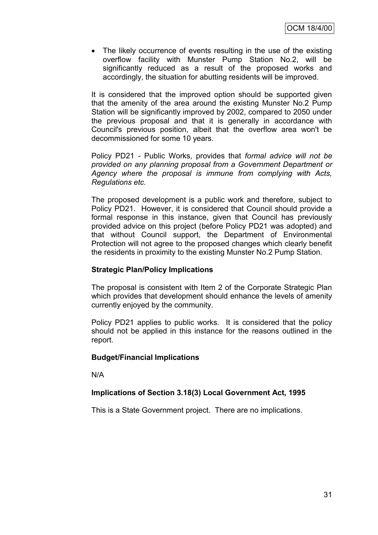• The likely occurrence of events resulting in the use of the existing overflow facility with Munster Pump Station No.2, will be significantly reduced as a result of the proposed works and accordingly, the situation for abutting residents will be improved.

It is considered that the improved option should be supported given that the amenity of the area around the existing Munster No.2 Pump Station will be significantly improved by 2002, compared to 2050 under the previous proposal and that it is generally in accordance with Council's previous position, albeit that the overflow area won't be decommissioned for some 10 years.

Policy PD21 - Public Works, provides that *formal advice will not be provided on any planning proposal from a Government Department or Agency where the proposal is immune from complying with Acts, Regulations etc.*

The proposed development is a public work and therefore, subject to Policy PD21. However, it is considered that Council should provide a formal response in this instance, given that Council has previously provided advice on this project (before Policy PD21 was adopted) and that without Council support, the Department of Environmental Protection will not agree to the proposed changes which clearly benefit the residents in proximity to the existing Munster No.2 Pump Station.

# **Strategic Plan/Policy Implications**

The proposal is consistent with Item 2 of the Corporate Strategic Plan which provides that development should enhance the levels of amenity currently enjoyed by the community.

Policy PD21 applies to public works. It is considered that the policy should not be applied in this instance for the reasons outlined in the report.

# **Budget/Financial Implications**

N/A

# **Implications of Section 3.18(3) Local Government Act, 1995**

This is a State Government project. There are no implications.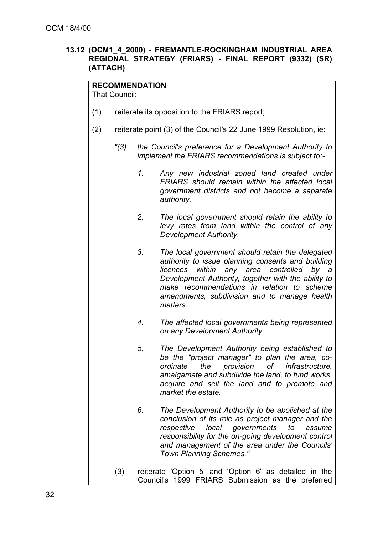# **13.12 (OCM1\_4\_2000) - FREMANTLE-ROCKINGHAM INDUSTRIAL AREA REGIONAL STRATEGY (FRIARS) - FINAL REPORT (9332) (SR) (ATTACH)**

**RECOMMENDATION** That Council:

- (1) reiterate its opposition to the FRIARS report;
- (2) reiterate point (3) of the Council's 22 June 1999 Resolution, ie:
	- *"(3) the Council's preference for a Development Authority to implement the FRIARS recommendations is subject to:-*
		- *1. Any new industrial zoned land created under FRIARS should remain within the affected local government districts and not become a separate authority.*
		- *2. The local government should retain the ability to levy rates from land within the control of any Development Authority.*
		- *3. The local government should retain the delegated authority to issue planning consents and building licences within any area controlled by a Development Authority, together with the ability to make recommendations in relation to scheme amendments, subdivision and to manage health matters.*
		- *4. The affected local governments being represented on any Development Authority.*
		- *5. The Development Authority being established to be the "project manager" to plan the area, coordinate the provision of infrastructure, amalgamate and subdivide the land, to fund works, acquire and sell the land and to promote and market the estate.*
		- *6. The Development Authority to be abolished at the conclusion of its role as project manager and the respective local governments to assume responsibility for the on-going development control and management of the area under the Councils' Town Planning Schemes."*
	- (3) reiterate 'Option 5' and 'Option 6' as detailed in the Council's 1999 FRIARS Submission as the preferred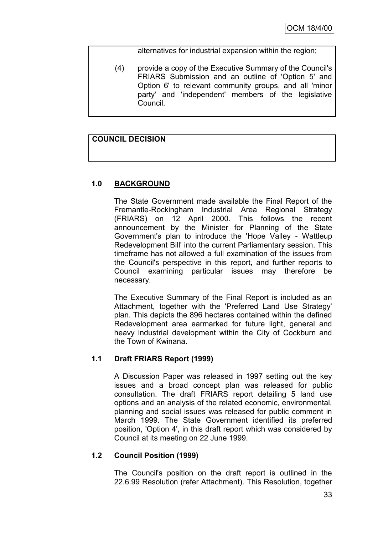alternatives for industrial expansion within the region;

(4) provide a copy of the Executive Summary of the Council's FRIARS Submission and an outline of 'Option 5' and Option 6' to relevant community groups, and all 'minor party' and 'independent' members of the legislative Council.

# **COUNCIL DECISION**

# **1.0 BACKGROUND**

The State Government made available the Final Report of the Fremantle-Rockingham Industrial Area Regional Strategy (FRIARS) on 12 April 2000. This follows the recent announcement by the Minister for Planning of the State Government's plan to introduce the 'Hope Valley - Wattleup Redevelopment Bill' into the current Parliamentary session. This timeframe has not allowed a full examination of the issues from the Council's perspective in this report, and further reports to Council examining particular issues may therefore be necessary.

The Executive Summary of the Final Report is included as an Attachment, together with the 'Preferred Land Use Strategy' plan. This depicts the 896 hectares contained within the defined Redevelopment area earmarked for future light, general and heavy industrial development within the City of Cockburn and the Town of Kwinana.

# **1.1 Draft FRIARS Report (1999)**

A Discussion Paper was released in 1997 setting out the key issues and a broad concept plan was released for public consultation. The draft FRIARS report detailing 5 land use options and an analysis of the related economic, environmental, planning and social issues was released for public comment in March 1999. The State Government identified its preferred position, 'Option 4', in this draft report which was considered by Council at its meeting on 22 June 1999.

# **1.2 Council Position (1999)**

The Council's position on the draft report is outlined in the 22.6.99 Resolution (refer Attachment). This Resolution, together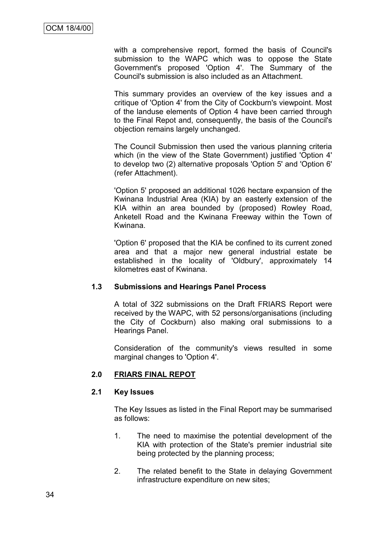with a comprehensive report, formed the basis of Council's submission to the WAPC which was to oppose the State Government's proposed 'Option 4'. The Summary of the Council's submission is also included as an Attachment.

This summary provides an overview of the key issues and a critique of 'Option 4' from the City of Cockburn's viewpoint. Most of the landuse elements of Option 4 have been carried through to the Final Repot and, consequently, the basis of the Council's objection remains largely unchanged.

The Council Submission then used the various planning criteria which (in the view of the State Government) justified 'Option 4' to develop two (2) alternative proposals 'Option 5' and 'Option 6' (refer Attachment).

'Option 5' proposed an additional 1026 hectare expansion of the Kwinana Industrial Area (KIA) by an easterly extension of the KIA within an area bounded by (proposed) Rowley Road, Anketell Road and the Kwinana Freeway within the Town of Kwinana.

'Option 6' proposed that the KIA be confined to its current zoned area and that a major new general industrial estate be established in the locality of 'Oldbury', approximately 14 kilometres east of Kwinana.

# **1.3 Submissions and Hearings Panel Process**

A total of 322 submissions on the Draft FRIARS Report were received by the WAPC, with 52 persons/organisations (including the City of Cockburn) also making oral submissions to a Hearings Panel.

Consideration of the community's views resulted in some marginal changes to 'Option 4'.

# **2.0 FRIARS FINAL REPOT**

#### **2.1 Key Issues**

The Key Issues as listed in the Final Report may be summarised as follows:

- 1. The need to maximise the potential development of the KIA with protection of the State's premier industrial site being protected by the planning process;
- 2. The related benefit to the State in delaying Government infrastructure expenditure on new sites;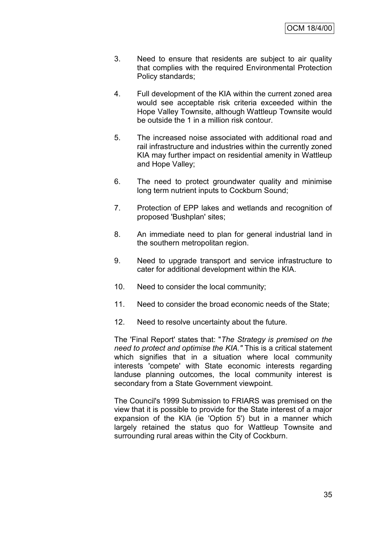- 3. Need to ensure that residents are subject to air quality that complies with the required Environmental Protection Policy standards;
- 4. Full development of the KIA within the current zoned area would see acceptable risk criteria exceeded within the Hope Valley Townsite, although Wattleup Townsite would be outside the 1 in a million risk contour.
- 5. The increased noise associated with additional road and rail infrastructure and industries within the currently zoned KIA may further impact on residential amenity in Wattleup and Hope Valley;
- 6. The need to protect groundwater quality and minimise long term nutrient inputs to Cockburn Sound;
- 7. Protection of EPP lakes and wetlands and recognition of proposed 'Bushplan' sites;
- 8. An immediate need to plan for general industrial land in the southern metropolitan region.
- 9. Need to upgrade transport and service infrastructure to cater for additional development within the KIA.
- 10. Need to consider the local community;
- 11. Need to consider the broad economic needs of the State;
- 12. Need to resolve uncertainty about the future.

The 'Final Report' states that: "*The Strategy is premised on the need to protect and optimise the KIA."* This is a critical statement which signifies that in a situation where local community interests 'compete' with State economic interests regarding landuse planning outcomes, the local community interest is secondary from a State Government viewpoint.

The Council's 1999 Submission to FRIARS was premised on the view that it is possible to provide for the State interest of a major expansion of the KIA (ie 'Option 5') but in a manner which largely retained the status quo for Wattleup Townsite and surrounding rural areas within the City of Cockburn.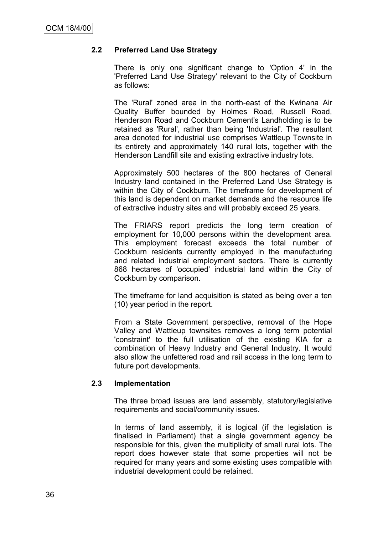# **2.2 Preferred Land Use Strategy**

There is only one significant change to 'Option 4' in the 'Preferred Land Use Strategy' relevant to the City of Cockburn as follows:

The 'Rural' zoned area in the north-east of the Kwinana Air Quality Buffer bounded by Holmes Road, Russell Road, Henderson Road and Cockburn Cement's Landholding is to be retained as 'Rural', rather than being 'Industrial'. The resultant area denoted for industrial use comprises Wattleup Townsite in its entirety and approximately 140 rural lots, together with the Henderson Landfill site and existing extractive industry lots.

Approximately 500 hectares of the 800 hectares of General Industry land contained in the Preferred Land Use Strategy is within the City of Cockburn. The timeframe for development of this land is dependent on market demands and the resource life of extractive industry sites and will probably exceed 25 years.

The FRIARS report predicts the long term creation of employment for 10,000 persons within the development area. This employment forecast exceeds the total number of Cockburn residents currently employed in the manufacturing and related industrial employment sectors. There is currently 868 hectares of 'occupied' industrial land within the City of Cockburn by comparison.

The timeframe for land acquisition is stated as being over a ten (10) year period in the report.

From a State Government perspective, removal of the Hope Valley and Wattleup townsites removes a long term potential 'constraint' to the full utilisation of the existing KIA for a combination of Heavy Industry and General Industry. It would also allow the unfettered road and rail access in the long term to future port developments.

# **2.3 Implementation**

The three broad issues are land assembly, statutory/legislative requirements and social/community issues.

In terms of land assembly, it is logical (if the legislation is finalised in Parliament) that a single government agency be responsible for this, given the multiplicity of small rural lots. The report does however state that some properties will not be required for many years and some existing uses compatible with industrial development could be retained.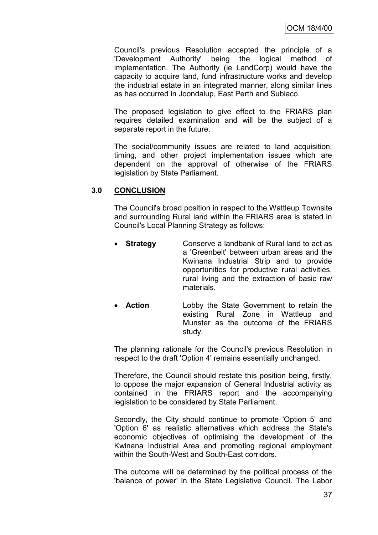Council's previous Resolution accepted the principle of a 'Development Authority' being the logical method of implementation. The Authority (ie LandCorp) would have the capacity to acquire land, fund infrastructure works and develop the industrial estate in an integrated manner, along similar lines as has occurred in Joondalup, East Perth and Subiaco.

The proposed legislation to give effect to the FRIARS plan requires detailed examination and will be the subject of a separate report in the future.

The social/community issues are related to land acquisition, timing, and other project implementation issues which are dependent on the approval of otherwise of the FRIARS legislation by State Parliament.

#### **3.0 CONCLUSION**

The Council's broad position in respect to the Wattleup Townsite and surrounding Rural land within the FRIARS area is stated in Council's Local Planning Strategy as follows:

- **Strategy** Conserve a landbank of Rural land to act as a 'Greenbelt' between urban areas and the Kwinana Industrial Strip and to provide opportunities for productive rural activities, rural living and the extraction of basic raw materials.
- **Action** Lobby the State Government to retain the existing Rural Zone in Wattleup and Munster as the outcome of the FRIARS study.

The planning rationale for the Council's previous Resolution in respect to the draft 'Option 4' remains essentially unchanged.

Therefore, the Council should restate this position being, firstly, to oppose the major expansion of General Industrial activity as contained in the FRIARS report and the accompanying legislation to be considered by State Parliament.

Secondly, the City should continue to promote 'Option 5' and 'Option 6' as realistic alternatives which address the State's economic objectives of optimising the development of the Kwinana Industrial Area and promoting regional employment within the South-West and South-East corridors.

The outcome will be determined by the political process of the 'balance of power' in the State Legislative Council. The Labor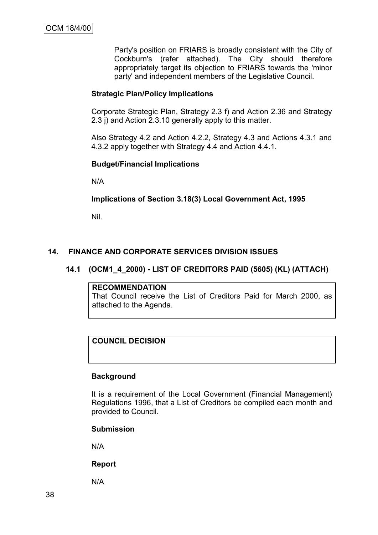Party's position on FRIARS is broadly consistent with the City of Cockburn's (refer attached). The City should therefore appropriately target its objection to FRIARS towards the 'minor party' and independent members of the Legislative Council.

# **Strategic Plan/Policy Implications**

Corporate Strategic Plan, Strategy 2.3 f) and Action 2.36 and Strategy 2.3 j) and Action 2.3.10 generally apply to this matter.

Also Strategy 4.2 and Action 4.2.2, Strategy 4.3 and Actions 4.3.1 and 4.3.2 apply together with Strategy 4.4 and Action 4.4.1.

# **Budget/Financial Implications**

N/A

# **Implications of Section 3.18(3) Local Government Act, 1995**

Nil.

# **14. FINANCE AND CORPORATE SERVICES DIVISION ISSUES**

# **14.1 (OCM1\_4\_2000) - LIST OF CREDITORS PAID (5605) (KL) (ATTACH)**

#### **RECOMMENDATION**

That Council receive the List of Creditors Paid for March 2000, as attached to the Agenda.

# **COUNCIL DECISION**

# **Background**

It is a requirement of the Local Government (Financial Management) Regulations 1996, that a List of Creditors be compiled each month and provided to Council.

# **Submission**

N/A

# **Report**

N/A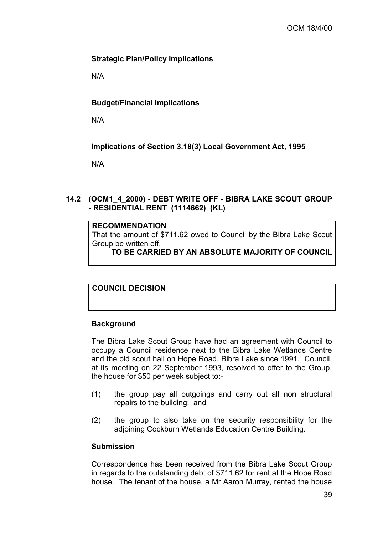# **Strategic Plan/Policy Implications**

N/A

# **Budget/Financial Implications**

N/A

# **Implications of Section 3.18(3) Local Government Act, 1995**

N/A

# **14.2 (OCM1\_4\_2000) - DEBT WRITE OFF - BIBRA LAKE SCOUT GROUP - RESIDENTIAL RENT (1114662) (KL)**

# **RECOMMENDATION**

That the amount of \$711.62 owed to Council by the Bibra Lake Scout Group be written off.

# **TO BE CARRIED BY AN ABSOLUTE MAJORITY OF COUNCIL**

**COUNCIL DECISION**

# **Background**

The Bibra Lake Scout Group have had an agreement with Council to occupy a Council residence next to the Bibra Lake Wetlands Centre and the old scout hall on Hope Road, Bibra Lake since 1991. Council, at its meeting on 22 September 1993, resolved to offer to the Group, the house for \$50 per week subject to:-

- (1) the group pay all outgoings and carry out all non structural repairs to the building; and
- (2) the group to also take on the security responsibility for the adjoining Cockburn Wetlands Education Centre Building.

# **Submission**

Correspondence has been received from the Bibra Lake Scout Group in regards to the outstanding debt of \$711.62 for rent at the Hope Road house. The tenant of the house, a Mr Aaron Murray, rented the house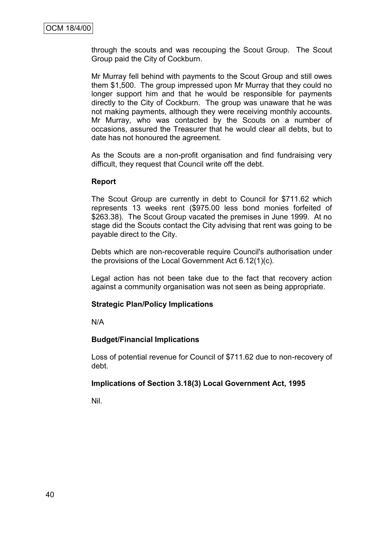through the scouts and was recouping the Scout Group. The Scout Group paid the City of Cockburn.

Mr Murray fell behind with payments to the Scout Group and still owes them \$1,500. The group impressed upon Mr Murray that they could no longer support him and that he would be responsible for payments directly to the City of Cockburn. The group was unaware that he was not making payments, although they were receiving monthly accounts. Mr Murray, who was contacted by the Scouts on a number of occasions, assured the Treasurer that he would clear all debts, but to date has not honoured the agreement.

As the Scouts are a non-profit organisation and find fundraising very difficult, they request that Council write off the debt.

#### **Report**

The Scout Group are currently in debt to Council for \$711.62 which represents 13 weeks rent (\$975.00 less bond monies forfeited of \$263.38). The Scout Group vacated the premises in June 1999. At no stage did the Scouts contact the City advising that rent was going to be payable direct to the City.

Debts which are non-recoverable require Council's authorisation under the provisions of the Local Government Act 6.12(1)(c).

Legal action has not been take due to the fact that recovery action against a community organisation was not seen as being appropriate.

# **Strategic Plan/Policy Implications**

N/A

# **Budget/Financial Implications**

Loss of potential revenue for Council of \$711.62 due to non-recovery of debt.

# **Implications of Section 3.18(3) Local Government Act, 1995**

Nil.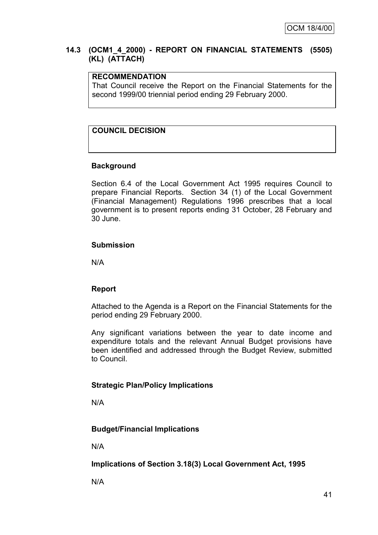# **14.3 (OCM1\_4\_2000) - REPORT ON FINANCIAL STATEMENTS (5505) (KL) (ATTACH)**

# **RECOMMENDATION**

That Council receive the Report on the Financial Statements for the second 1999/00 triennial period ending 29 February 2000.

# **COUNCIL DECISION**

# **Background**

Section 6.4 of the Local Government Act 1995 requires Council to prepare Financial Reports. Section 34 (1) of the Local Government (Financial Management) Regulations 1996 prescribes that a local government is to present reports ending 31 October, 28 February and 30 June.

# **Submission**

N/A

# **Report**

Attached to the Agenda is a Report on the Financial Statements for the period ending 29 February 2000.

Any significant variations between the year to date income and expenditure totals and the relevant Annual Budget provisions have been identified and addressed through the Budget Review, submitted to Council.

# **Strategic Plan/Policy Implications**

N/A

# **Budget/Financial Implications**

N/A

**Implications of Section 3.18(3) Local Government Act, 1995**

N/A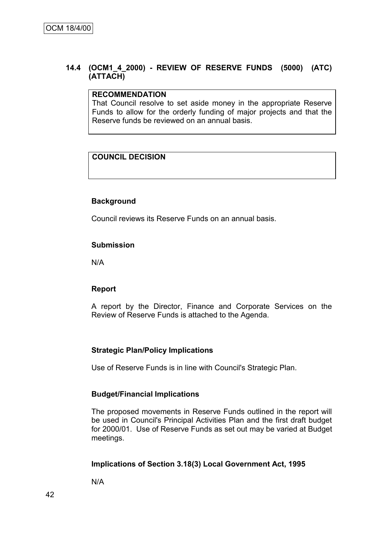# **14.4 (OCM1\_4\_2000) - REVIEW OF RESERVE FUNDS (5000) (ATC) (ATTACH)**

#### **RECOMMENDATION**

That Council resolve to set aside money in the appropriate Reserve Funds to allow for the orderly funding of major projects and that the Reserve funds be reviewed on an annual basis.

# **COUNCIL DECISION**

# **Background**

Council reviews its Reserve Funds on an annual basis.

# **Submission**

N/A

# **Report**

A report by the Director, Finance and Corporate Services on the Review of Reserve Funds is attached to the Agenda.

# **Strategic Plan/Policy Implications**

Use of Reserve Funds is in line with Council's Strategic Plan.

# **Budget/Financial Implications**

The proposed movements in Reserve Funds outlined in the report will be used in Council's Principal Activities Plan and the first draft budget for 2000/01. Use of Reserve Funds as set out may be varied at Budget meetings.

# **Implications of Section 3.18(3) Local Government Act, 1995**

N/A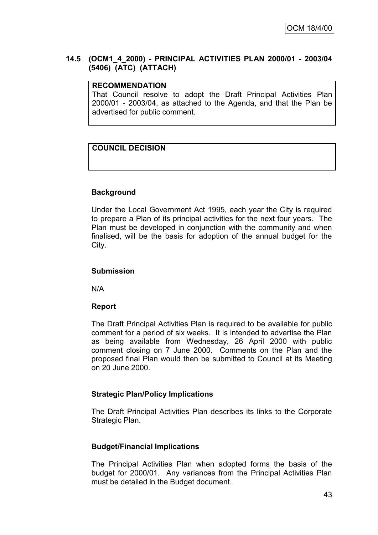# **14.5 (OCM1\_4\_2000) - PRINCIPAL ACTIVITIES PLAN 2000/01 - 2003/04 (5406) (ATC) (ATTACH)**

# **RECOMMENDATION**

That Council resolve to adopt the Draft Principal Activities Plan 2000/01 - 2003/04, as attached to the Agenda, and that the Plan be advertised for public comment.

# **COUNCIL DECISION**

# **Background**

Under the Local Government Act 1995, each year the City is required to prepare a Plan of its principal activities for the next four years. The Plan must be developed in conjunction with the community and when finalised, will be the basis for adoption of the annual budget for the City.

# **Submission**

N/A

# **Report**

The Draft Principal Activities Plan is required to be available for public comment for a period of six weeks. It is intended to advertise the Plan as being available from Wednesday, 26 April 2000 with public comment closing on 7 June 2000. Comments on the Plan and the proposed final Plan would then be submitted to Council at its Meeting on 20 June 2000.

# **Strategic Plan/Policy Implications**

The Draft Principal Activities Plan describes its links to the Corporate Strategic Plan.

# **Budget/Financial Implications**

The Principal Activities Plan when adopted forms the basis of the budget for 2000/01. Any variances from the Principal Activities Plan must be detailed in the Budget document.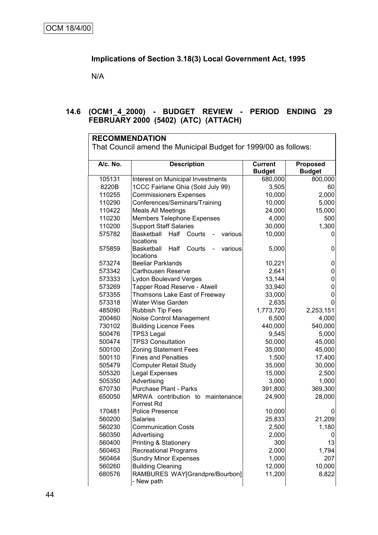# **Implications of Section 3.18(3) Local Government Act, 1995**

N/A

# **14.6 (OCM1\_4\_2000) - BUDGET REVIEW - PERIOD ENDING 29 FEBRUARY 2000 (5402) (ATC) (ATTACH)**

| <b>RECOMMENDATION</b>                                           |                                                       |                                 |                                  |  |  |  |
|-----------------------------------------------------------------|-------------------------------------------------------|---------------------------------|----------------------------------|--|--|--|
| That Council amend the Municipal Budget for 1999/00 as follows: |                                                       |                                 |                                  |  |  |  |
| A/c. No.                                                        | <b>Description</b>                                    | <b>Current</b><br><b>Budget</b> | <b>Proposed</b><br><b>Budget</b> |  |  |  |
| 105131                                                          | Interest on Municipal Investments                     | 680,000                         | 800,000                          |  |  |  |
| 8220B                                                           | 1CCC Fairlane Ghia (Sold July 99)                     | 3,505                           | 60                               |  |  |  |
| 110255                                                          | <b>Commissioners Expenses</b>                         | 10,000                          | 2,000                            |  |  |  |
| 110290                                                          | Conferences/Seminars/Training                         | 10,000                          | 5,000                            |  |  |  |
| 110422                                                          | <b>Meals All Meetings</b>                             | 24,000                          | 15,000                           |  |  |  |
| 110230                                                          | <b>Members Telephone Expenses</b>                     | 4,000                           | 500                              |  |  |  |
| 110200                                                          | <b>Support Staff Salaries</b>                         | 30,000                          | 1,300                            |  |  |  |
| 575782                                                          | Basketball<br>Half<br>Courts<br>various<br>locations  | 10,000                          | 0                                |  |  |  |
| 575859                                                          | Half<br>Courts<br>various<br>Basketball<br>locations  | 5,000                           | 0                                |  |  |  |
| 573274                                                          | <b>Beeliar Parklands</b>                              | 10,221                          | 0                                |  |  |  |
| 573342                                                          | Carlhousen Reserve                                    | 2,641                           | 0                                |  |  |  |
| 573333                                                          | <b>Lydon Boulevard Verges</b>                         | 13,144                          | 0                                |  |  |  |
| 573269                                                          | Tapper Road Reserve - Atwell                          | 33,940                          | 0                                |  |  |  |
| 573355                                                          | Thomsons Lake East of Freeway                         | 33,000                          | 0                                |  |  |  |
| 573318                                                          | <b>Water Wise Garden</b>                              | 2,635                           | 0                                |  |  |  |
| 485090                                                          | <b>Rubbish Tip Fees</b>                               | 1,773,720                       | 2,253,151                        |  |  |  |
| 200460                                                          | Noise Control Management                              | 6,500                           | 4,000                            |  |  |  |
| 730102                                                          | <b>Building Licence Fees</b>                          | 440,000                         | 540,000                          |  |  |  |
| 500476                                                          | <b>TPS3 Legal</b>                                     | 9,545                           | 5,000                            |  |  |  |
| 500474                                                          | <b>TPS3 Consultation</b>                              | 50,000                          | 45,000                           |  |  |  |
| 500100                                                          | <b>Zoning Statement Fees</b>                          | 35,000                          | 45,000                           |  |  |  |
| 500110                                                          | <b>Fines and Penalties</b>                            | 1,500                           | 17,400                           |  |  |  |
| 505479                                                          | <b>Computer Retail Study</b>                          | 35,000                          | 30,000                           |  |  |  |
| 505320                                                          | Legal Expenses                                        | 15,000                          | 2,500                            |  |  |  |
| 505350                                                          | Advertising                                           | 3,000                           | 1,000                            |  |  |  |
| 670730                                                          | <b>Purchase Plant - Parks</b>                         | 391,800                         | 369,300                          |  |  |  |
| 650050                                                          | MRWA contribution to maintenance<br><b>Forrest Rd</b> | 24,900                          | 28,000                           |  |  |  |
| 170481                                                          | Police Presence                                       | 10,000                          | 0                                |  |  |  |
| 560200                                                          | Salaries                                              | 25,833                          | 21,209                           |  |  |  |
| 560230                                                          | <b>Communication Costs</b>                            | 2,500                           | 1,180                            |  |  |  |
| 560350                                                          | Advertising                                           | 2,000                           | υ                                |  |  |  |
| 560400                                                          | <b>Printing &amp; Stationery</b>                      | 300                             | 13                               |  |  |  |
| 560463                                                          | <b>Recreational Programs</b>                          | 2,000                           | 1,794                            |  |  |  |
| 560464                                                          | <b>Sundry Minor Expenses</b>                          | 1,000                           | 207                              |  |  |  |
| 560260                                                          | <b>Building Cleaning</b>                              | 12,000                          | 10,000                           |  |  |  |
| 680576                                                          | RAMBURES WAY[Grandpre/Bourbon]<br>- New path          | 11,200                          | 8,822                            |  |  |  |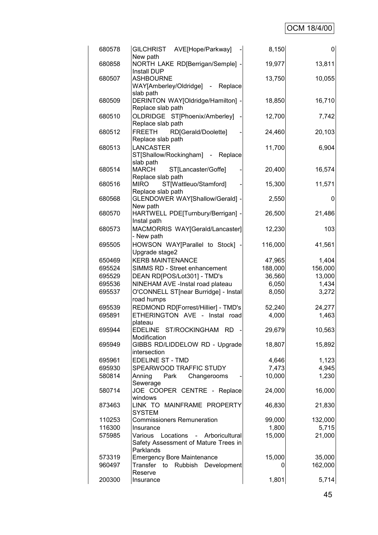# OCM 18/4/00

| 680578 | GILCHRIST AVE[Hope/Parkway]<br>New path                                       | 8,150   | $\overline{0}$ |
|--------|-------------------------------------------------------------------------------|---------|----------------|
| 680858 | NORTH LAKE RD[Berrigan/Semple] -                                              | 19,977  | 13,811         |
| 680507 | Install DUP<br><b>ASHBOURNE</b>                                               | 13,750  | 10,055         |
|        | WAY[Amberley/Oldridge] - Replace                                              |         |                |
|        | slab path                                                                     |         |                |
| 680509 | DERINTON WAY[Oldridge/Hamilton] -<br>Replace slab path                        | 18,850  | 16,710         |
| 680510 | OLDRIDGE ST[Phoenix/Amberley]                                                 | 12,700  | 7,742          |
|        | Replace slab path                                                             |         |                |
| 680512 | <b>FREETH</b><br>RD[Gerald/Doolette]                                          | 24,460  | 20,103         |
| 680513 | Replace slab path<br><b>LANCASTER</b>                                         | 11,700  | 6,904          |
|        | ST[Shallow/Rockingham] - Replace                                              |         |                |
|        | slab path                                                                     |         |                |
| 680514 | <b>MARCH</b><br>ST[Lancaster/Goffe]<br>Replace slab path                      | 20,400  | 16,574         |
| 680516 | <b>MIRO</b><br>ST[Wattleuo/Stamford]                                          | 15,300  | 11,571         |
|        | Replace slab path                                                             |         |                |
| 680568 | GLENDOWER WAY[Shallow/Gerald] -                                               | 2,550   | 0              |
| 680570 | New path<br>HARTWELL PDE[Turnbury/Berrigan] -                                 | 26,500  | 21,486         |
|        | Instal path                                                                   |         |                |
| 680573 | MACMORRIS WAY[Gerald/Lancaster]                                               | 12,230  | 103            |
| 695505 | - New path<br>HOWSON WAY[Parallel to Stock]                                   | 116,000 |                |
|        | Upgrade stage2                                                                |         | 41,561         |
| 650469 | <b>KERB MAINTENANCE</b>                                                       | 47,965  | 1,404          |
| 695524 | SIMMS RD - Street enhancement                                                 | 188,000 | 156,000        |
| 695529 | DEAN RD[POS/Lot301] - TMD's                                                   | 36,560  | 13,000         |
| 695536 | NINEHAM AVE -Instal road plateau                                              | 6,050   | 1,434          |
| 695537 | O'CONNELL ST[near Burridge] - Instal                                          | 8,050   | 3,272          |
|        | road humps                                                                    |         |                |
| 695539 | REDMOND RD[Forrest/Hillier] - TMD's                                           | 52,240  | 24,277         |
| 695891 | ETHERINGTON AVE - Instal road                                                 | 4,000   | 1,463          |
| 695944 | plateau<br>EDELINE ST/ROCKINGHAM RD                                           | 29,679  | 10,563         |
|        | Modification                                                                  |         |                |
| 695949 | GIBBS RD/LIDDELOW RD - Upgrade                                                | 18,807  | 15,892         |
|        | intersection                                                                  |         |                |
| 695961 | <b>EDELINE ST - TMD</b>                                                       | 4,646   | 1,123          |
| 695930 | SPEARWOOD TRAFFIC STUDY                                                       | 7,473   | 4,945          |
| 580814 | Anning<br>Park<br>Changerooms                                                 | 10,000  | 1,230          |
|        | Sewerage                                                                      |         |                |
| 580714 | JOE COOPER CENTRE - Replace<br>windows                                        | 24,000  | 16,000         |
| 873463 | LINK TO MAINFRAME PROPERTY                                                    | 46,830  | 21,830         |
|        | <b>SYSTEM</b>                                                                 |         |                |
| 110253 | <b>Commissioners Remuneration</b>                                             | 99,000  | 132,000        |
| 116300 | Insurance                                                                     | 1,800   | 5,715          |
| 575985 | Locations - Arboricultural<br>Various<br>Safety Assessment of Mature Trees in | 15,000  | 21,000         |
| 573319 | Parklands<br><b>Emergency Bore Maintenance</b>                                | 15,000  | 35,000         |
| 960497 | Transfer to Rubbish<br>Development                                            | 0       | 162,000        |
|        | Reserve                                                                       |         |                |
| 200300 | Insurance                                                                     | 1,801   | 5,714          |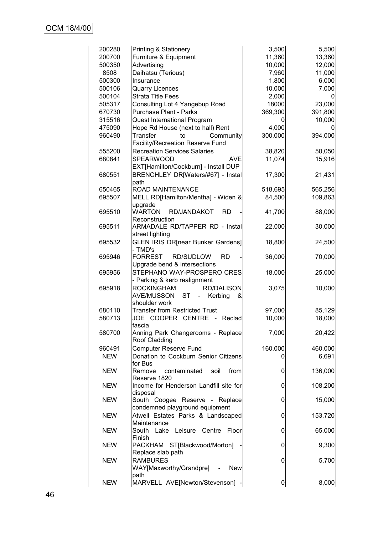| 200280     | <b>Printing &amp; Stationery</b>                                      | 3,500   | 5,500   |
|------------|-----------------------------------------------------------------------|---------|---------|
| 200700     | Furniture & Equipment                                                 | 11,360  | 13,360  |
| 500350     | Advertising                                                           | 10,000  | 12,000  |
| 8508       | Daihatsu (Terious)                                                    | 7,960   | 11,000  |
| 500300     | Insurance                                                             | 1,800   | 6,000   |
| 500106     | <b>Quarry Licences</b>                                                | 10,000  | 7,000   |
| 500104     | <b>Strata Title Fees</b>                                              | 2,000   |         |
| 505317     | Consulting Lot 4 Yangebup Road                                        | 18000   | 23,000  |
| 670730     | <b>Purchase Plant - Parks</b>                                         | 369,300 | 391,800 |
| 315516     | Quest International Program                                           |         | 10,000  |
| 475090     | Hope Rd House (next to hall) Rent                                     | 4,000   |         |
| 960490     | <b>Transfer</b><br>to<br>Community                                    | 300,000 | 394,000 |
|            | Facility/Recreation Reserve Fund                                      |         |         |
| 555200     | <b>Recreation Services Salaries</b>                                   | 38,820  | 50,050  |
| 680841     | <b>SPEARWOOD</b><br><b>AVE</b>                                        | 11,074  | 15,916  |
|            | EXT[Hamilton/Cockburn] - Install DUP                                  |         |         |
|            |                                                                       |         | 21,431  |
| 680551     | BRENCHLEY DR[Waters/#67] - Instal                                     | 17,300  |         |
| 650465     | path<br>ROAD MAINTENANCE                                              | 518,695 | 565,256 |
| 695507     | MELL RD[Hamilton/Mentha] - Widen &                                    | 84,500  | 109,863 |
|            | upgrade                                                               |         |         |
| 695510     | <b>WARTON</b><br>RD/JANDAKOT<br><b>RD</b>                             | 41,700  | 88,000  |
|            | Reconstruction                                                        |         |         |
| 695511     | ARMADALE RD/TAPPER RD - Instal                                        | 22,000  | 30,000  |
|            | street lighting                                                       |         |         |
| 695532     | <b>GLEN IRIS DR[near Bunker Gardens]</b>                              | 18,800  | 24,500  |
|            | - TMD's                                                               |         |         |
| 695946     | <b>FORREST</b><br><b>RD/SUDLOW</b><br><b>RD</b>                       | 36,000  | 70,000  |
|            | Upgrade bend & intersections                                          |         |         |
| 695956     | STEPHANO WAY-PROSPERO CRES                                            | 18,000  | 25,000  |
|            | - Parking & kerb realignment                                          |         |         |
| 695918     | <b>ROCKINGHAM</b><br><b>RD/DALISON</b>                                | 3,075   | 10,000  |
|            | <b>ST</b><br><b>AVE/MUSSON</b><br>$\omega_{\rm{eff}}$<br>Kerbing<br>& |         |         |
|            | shoulder work                                                         |         |         |
| 680110     | <b>Transfer from Restricted Trust</b>                                 | 97,000  | 85,129  |
| 580713     | JOE COOPER CENTRE - Reclad                                            | 10,000  | 18,000  |
|            | fascia                                                                |         |         |
| 580700     | Anning Park Changerooms - Replace                                     | 7,000   | 20,422  |
|            | Roof Cladding                                                         |         |         |
| 960491     | <b>Computer Reserve Fund</b>                                          | 160,000 | 460,000 |
| <b>NEW</b> | Donation to Cockburn Senior Citizens                                  |         | 6,691   |
|            | for Bus                                                               |         |         |
| <b>NEW</b> | Remove<br>contaminated<br>from<br>soil                                | 0       | 136,000 |
|            | Reserve 1820                                                          |         |         |
| <b>NEW</b> | Income for Henderson Landfill site for                                | 0       | 108,200 |
|            | disposal                                                              |         |         |
| <b>NEW</b> | South Coogee Reserve - Replace                                        | 0       | 15,000  |
|            | condemned playground equipment                                        |         |         |
| <b>NEW</b> | Atwell Estates Parks & Landscaped                                     | 0       | 153,720 |
|            | Maintenance                                                           |         |         |
| <b>NEW</b> | Floor<br>South Lake Leisure Centre                                    | 0       | 65,000  |
|            | Finish                                                                |         |         |
| <b>NEW</b> | PACKHAM ST[Blackwood/Morton]<br>Replace slab path                     | 0       | 9,300   |
|            | <b>RAMBURES</b>                                                       |         |         |
| <b>NEW</b> | WAY[Maxworthy/Grandpre]<br><b>New</b>                                 | 0       | 5,700   |
|            | path                                                                  |         |         |
| <b>NEW</b> | MARVELL AVE[Newton/Stevenson]                                         | 0       | 8,000   |
|            |                                                                       |         |         |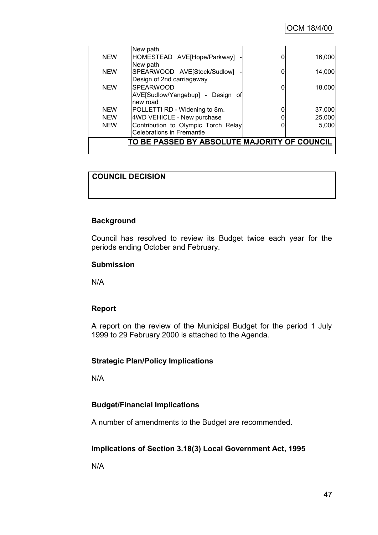|            | New path                                     |        |
|------------|----------------------------------------------|--------|
| <b>NEW</b> | HOMESTEAD AVE[Hope/Parkway]                  | 16,000 |
| <b>NEW</b> | New path<br>SPEARWOOD AVE[Stock/Sudlow]      | 14,000 |
|            | Design of 2nd carriageway                    |        |
| <b>NEW</b> | <b>SPEARWOOD</b>                             | 18,000 |
|            | AVE[Sudlow/Yangebup] - Design of             |        |
|            | new road                                     |        |
| <b>NEW</b> | POLLETTI RD - Widening to 8m.                | 37,000 |
| <b>NEW</b> | 4WD VEHICLE - New purchase                   | 25,000 |
| <b>NEW</b> | Contribution to Olympic Torch Relay          | 5,000  |
|            | Celebrations in Fremantle                    |        |
|            | TO BE PASSED BY ABSOLUTE MAJORITY OF COUNCIL |        |
|            |                                              |        |

# **COUNCIL DECISION**

# **Background**

Council has resolved to review its Budget twice each year for the periods ending October and February.

#### **Submission**

N/A

# **Report**

A report on the review of the Municipal Budget for the period 1 July 1999 to 29 February 2000 is attached to the Agenda.

# **Strategic Plan/Policy Implications**

N/A

# **Budget/Financial Implications**

A number of amendments to the Budget are recommended.

# **Implications of Section 3.18(3) Local Government Act, 1995**

N/A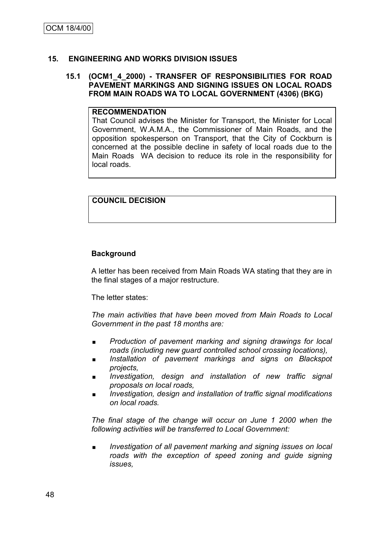# **15. ENGINEERING AND WORKS DIVISION ISSUES**

#### **15.1 (OCM1\_4\_2000) - TRANSFER OF RESPONSIBILITIES FOR ROAD PAVEMENT MARKINGS AND SIGNING ISSUES ON LOCAL ROADS FROM MAIN ROADS WA TO LOCAL GOVERNMENT (4306) (BKG)**

#### **RECOMMENDATION**

That Council advises the Minister for Transport, the Minister for Local Government, W.A.M.A., the Commissioner of Main Roads, and the opposition spokesperson on Transport, that the City of Cockburn is concerned at the possible decline in safety of local roads due to the Main Roads WA decision to reduce its role in the responsibility for local roads.

# **COUNCIL DECISION**

# **Background**

A letter has been received from Main Roads WA stating that they are in the final stages of a major restructure.

The letter states:

*The main activities that have been moved from Main Roads to Local Government in the past 18 months are:*

- *Production of pavement marking and signing drawings for local roads (including new guard controlled school crossing locations),*
- *Installation of pavement markings and signs on Blackspot projects,*
- *Investigation, design and installation of new traffic signal proposals on local roads,*
- *Investigation, design and installation of traffic signal modifications on local roads.*

*The final stage of the change will occur on June 1 2000 when the following activities will be transferred to Local Government:*

 *Investigation of all pavement marking and signing issues on local roads with the exception of speed zoning and guide signing issues,*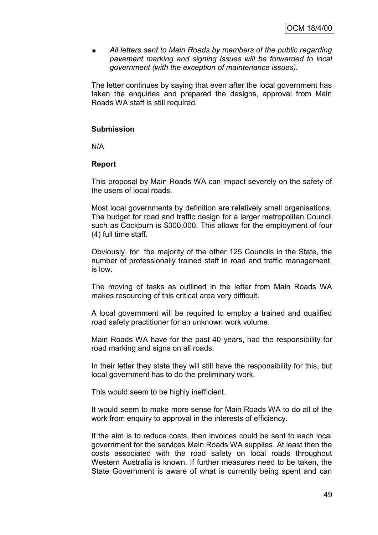**All letters sent to Main Roads by members of the public regarding** *pavement marking and signing issues will be forwarded to local government (with the exception of maintenance issues).*

The letter continues by saying that even after the local government has taken the enquiries and prepared the designs, approval from Main Roads WA staff is still required.

#### **Submission**

N/A

#### **Report**

This proposal by Main Roads WA can impact severely on the safety of the users of local roads.

Most local governments by definition are relatively small organisations. The budget for road and traffic design for a larger metropolitan Council such as Cockburn is \$300,000. This allows for the employment of four (4) full time staff.

Obviously, for the majority of the other 125 Councils in the State, the number of professionally trained staff in road and traffic management, is low.

The moving of tasks as outlined in the letter from Main Roads WA makes resourcing of this critical area very difficult.

A local government will be required to employ a trained and qualified road safety practitioner for an unknown work volume.

Main Roads WA have for the past 40 years, had the responsibility for road marking and signs on all roads.

In their letter they state they will still have the responsibility for this, but local government has to do the preliminary work.

This would seem to be highly inefficient.

It would seem to make more sense for Main Roads WA to do all of the work from enquiry to approval in the interests of efficiency.

If the aim is to reduce costs, then invoices could be sent to each local government for the services Main Roads WA supplies. At least then the costs associated with the road safety on local roads throughout Western Australia is known. If further measures need to be taken, the State Government is aware of what is currently being spent and can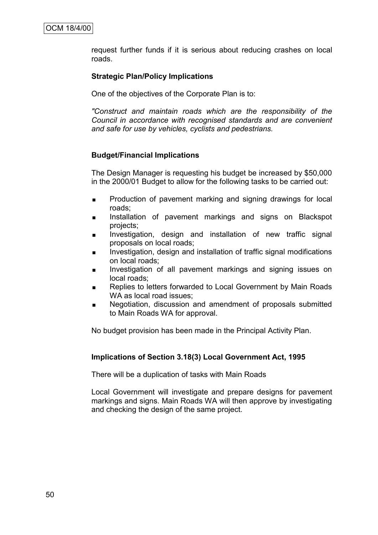request further funds if it is serious about reducing crashes on local roads.

# **Strategic Plan/Policy Implications**

One of the objectives of the Corporate Plan is to:

*"Construct and maintain roads which are the responsibility of the Council in accordance with recognised standards and are convenient and safe for use by vehicles, cyclists and pedestrians.*

# **Budget/Financial Implications**

The Design Manager is requesting his budget be increased by \$50,000 in the 2000/01 Budget to allow for the following tasks to be carried out:

- **Production of pavement marking and signing drawings for local** roads;
- Installation of pavement markings and signs on Blackspot projects;
- **Investigation, design and installation of new traffic signal** proposals on local roads;
- Investigation, design and installation of traffic signal modifications on local roads;
- **Investigation of all pavement markings and signing issues on** local roads;
- Replies to letters forwarded to Local Government by Main Roads WA as local road issues;
- **Negotiation, discussion and amendment of proposals submitted** to Main Roads WA for approval.

No budget provision has been made in the Principal Activity Plan.

# **Implications of Section 3.18(3) Local Government Act, 1995**

There will be a duplication of tasks with Main Roads

Local Government will investigate and prepare designs for pavement markings and signs. Main Roads WA will then approve by investigating and checking the design of the same project.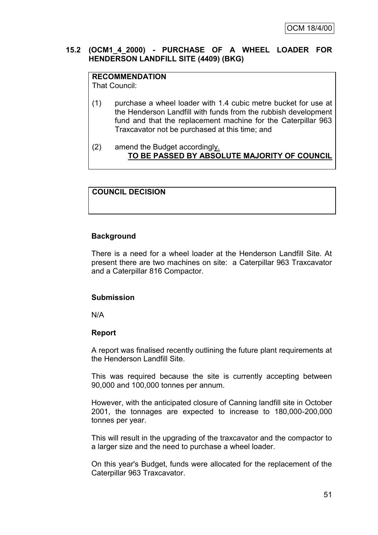# **15.2 (OCM1\_4\_2000) - PURCHASE OF A WHEEL LOADER FOR HENDERSON LANDFILL SITE (4409) (BKG)**

# **RECOMMENDATION**

That Council:

- (1) purchase a wheel loader with 1.4 cubic metre bucket for use at the Henderson Landfill with funds from the rubbish development fund and that the replacement machine for the Caterpillar 963 Traxcavator not be purchased at this time; and
- (2) amend the Budget accordingly. **TO BE PASSED BY ABSOLUTE MAJORITY OF COUNCIL**

# **COUNCIL DECISION**

# **Background**

There is a need for a wheel loader at the Henderson Landfill Site. At present there are two machines on site: a Caterpillar 963 Traxcavator and a Caterpillar 816 Compactor.

# **Submission**

N/A

# **Report**

A report was finalised recently outlining the future plant requirements at the Henderson Landfill Site.

This was required because the site is currently accepting between 90,000 and 100,000 tonnes per annum.

However, with the anticipated closure of Canning landfill site in October 2001, the tonnages are expected to increase to 180,000-200,000 tonnes per year.

This will result in the upgrading of the traxcavator and the compactor to a larger size and the need to purchase a wheel loader.

On this year's Budget, funds were allocated for the replacement of the Caterpillar 963 Traxcavator.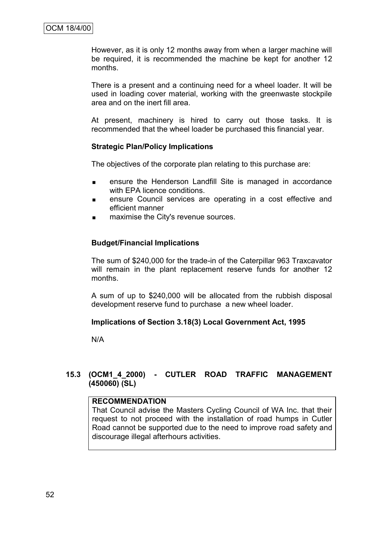However, as it is only 12 months away from when a larger machine will be required, it is recommended the machine be kept for another 12 months.

There is a present and a continuing need for a wheel loader. It will be used in loading cover material, working with the greenwaste stockpile area and on the inert fill area.

At present, machinery is hired to carry out those tasks. It is recommended that the wheel loader be purchased this financial year.

#### **Strategic Plan/Policy Implications**

The objectives of the corporate plan relating to this purchase are:

- **EXECUTE:** ensure the Henderson Landfill Site is managed in accordance with EPA licence conditions.
- **EXECUTE:** ensure Council services are operating in a cost effective and efficient manner
- **naximise the City's revenue sources.**

# **Budget/Financial Implications**

The sum of \$240,000 for the trade-in of the Caterpillar 963 Traxcavator will remain in the plant replacement reserve funds for another 12 months.

A sum of up to \$240,000 will be allocated from the rubbish disposal development reserve fund to purchase a new wheel loader.

# **Implications of Section 3.18(3) Local Government Act, 1995**

N/A

# **15.3 (OCM1\_4\_2000) - CUTLER ROAD TRAFFIC MANAGEMENT (450060) (SL)**

# **RECOMMENDATION**

That Council advise the Masters Cycling Council of WA Inc. that their request to not proceed with the installation of road humps in Cutler Road cannot be supported due to the need to improve road safety and discourage illegal afterhours activities.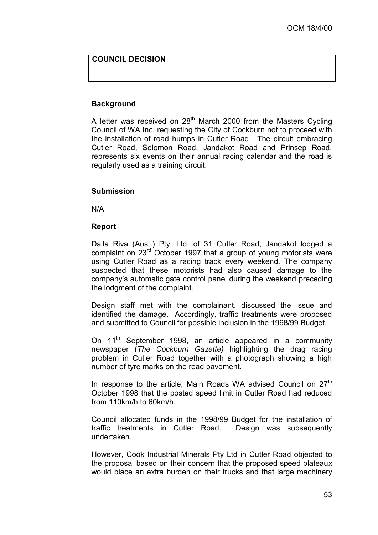# **COUNCIL DECISION**

#### **Background**

A letter was received on 28<sup>th</sup> March 2000 from the Masters Cycling Council of WA Inc. requesting the City of Cockburn not to proceed with the installation of road humps in Cutler Road. The circuit embracing Cutler Road, Solomon Road, Jandakot Road and Prinsep Road, represents six events on their annual racing calendar and the road is regularly used as a training circuit.

#### **Submission**

N/A

#### **Report**

Dalla Riva (Aust.) Pty. Ltd. of 31 Cutler Road, Jandakot lodged a complaint on 23<sup>rd</sup> October 1997 that a group of young motorists were using Cutler Road as a racing track every weekend. The company suspected that these motorists had also caused damage to the company"s automatic gate control panel during the weekend preceding the lodgment of the complaint.

Design staff met with the complainant, discussed the issue and identified the damage. Accordingly, traffic treatments were proposed and submitted to Council for possible inclusion in the 1998/99 Budget.

On 11<sup>th</sup> September 1998, an article appeared in a community newspaper (*The Cockburn Gazette)* highlighting the drag racing problem in Cutler Road together with a photograph showing a high number of tyre marks on the road pavement.

In response to the article, Main Roads WA advised Council on 27<sup>th</sup> October 1998 that the posted speed limit in Cutler Road had reduced from 110km/h to 60km/h.

Council allocated funds in the 1998/99 Budget for the installation of traffic treatments in Cutler Road. Design was subsequently undertaken.

However, Cook Industrial Minerals Pty Ltd in Cutler Road objected to the proposal based on their concern that the proposed speed plateaux would place an extra burden on their trucks and that large machinery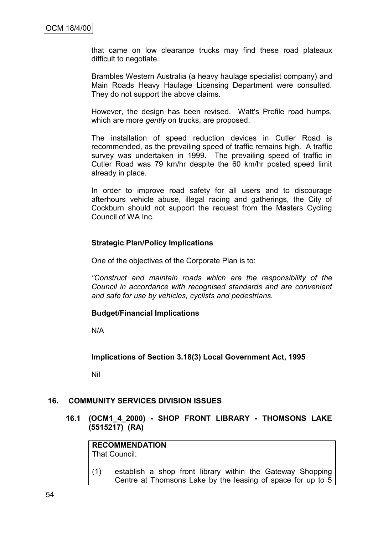that came on low clearance trucks may find these road plateaux difficult to negotiate.

Brambles Western Australia (a heavy haulage specialist company) and Main Roads Heavy Haulage Licensing Department were consulted. They do not support the above claims.

However, the design has been revised. Watt's Profile road humps, which are more *gently* on trucks, are proposed.

The installation of speed reduction devices in Cutler Road is recommended, as the prevailing speed of traffic remains high. A traffic survey was undertaken in 1999. The prevailing speed of traffic in Cutler Road was 79 km/hr despite the 60 km/hr posted speed limit already in place.

In order to improve road safety for all users and to discourage afterhours vehicle abuse, illegal racing and gatherings, the City of Cockburn should not support the request from the Masters Cycling Council of WA Inc.

# **Strategic Plan/Policy Implications**

One of the objectives of the Corporate Plan is to:

*"Construct and maintain roads which are the responsibility of the Council in accordance with recognised standards and are convenient and safe for use by vehicles, cyclists and pedestrians.*

#### **Budget/Financial Implications**

N/A

**Implications of Section 3.18(3) Local Government Act, 1995**

Nil

#### **16. COMMUNITY SERVICES DIVISION ISSUES**

**16.1 (OCM1\_4\_2000) - SHOP FRONT LIBRARY - THOMSONS LAKE (5515217) (RA)**

**RECOMMENDATION** That Council:

(1) establish a shop front library within the Gateway Shopping Centre at Thomsons Lake by the leasing of space for up to 5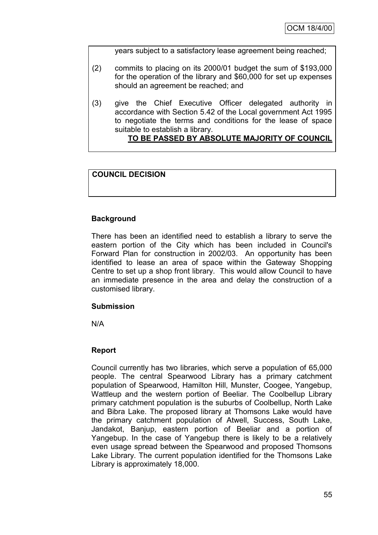years subject to a satisfactory lease agreement being reached;

- (2) commits to placing on its 2000/01 budget the sum of \$193,000 for the operation of the library and \$60,000 for set up expenses should an agreement be reached; and
- (3) give the Chief Executive Officer delegated authority in accordance with Section 5.42 of the Local government Act 1995 to negotiate the terms and conditions for the lease of space suitable to establish a library.

# **TO BE PASSED BY ABSOLUTE MAJORITY OF COUNCIL**

# **COUNCIL DECISION**

# **Background**

There has been an identified need to establish a library to serve the eastern portion of the City which has been included in Council's Forward Plan for construction in 2002/03. An opportunity has been identified to lease an area of space within the Gateway Shopping Centre to set up a shop front library. This would allow Council to have an immediate presence in the area and delay the construction of a customised library.

# **Submission**

N/A

# **Report**

Council currently has two libraries, which serve a population of 65,000 people. The central Spearwood Library has a primary catchment population of Spearwood, Hamilton Hill, Munster, Coogee, Yangebup, Wattleup and the western portion of Beeliar. The Coolbellup Library primary catchment population is the suburbs of Coolbellup, North Lake and Bibra Lake. The proposed library at Thomsons Lake would have the primary catchment population of Atwell, Success, South Lake, Jandakot, Banjup, eastern portion of Beeliar and a portion of Yangebup. In the case of Yangebup there is likely to be a relatively even usage spread between the Spearwood and proposed Thomsons Lake Library. The current population identified for the Thomsons Lake Library is approximately 18,000.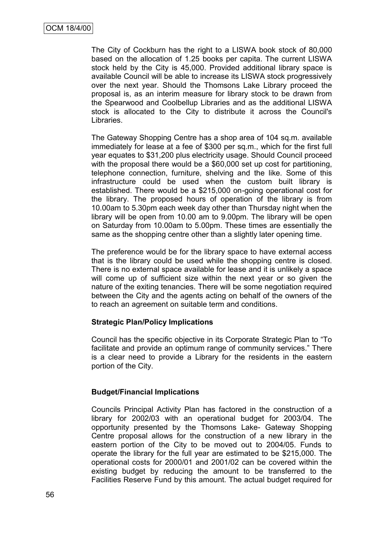The City of Cockburn has the right to a LISWA book stock of 80,000 based on the allocation of 1.25 books per capita. The current LISWA stock held by the City is 45,000. Provided additional library space is available Council will be able to increase its LISWA stock progressively over the next year. Should the Thomsons Lake Library proceed the proposal is, as an interim measure for library stock to be drawn from the Spearwood and Coolbellup Libraries and as the additional LISWA stock is allocated to the City to distribute it across the Council's Libraries.

The Gateway Shopping Centre has a shop area of 104 sq.m. available immediately for lease at a fee of \$300 per sq.m., which for the first full year equates to \$31,200 plus electricity usage. Should Council proceed with the proposal there would be a \$60,000 set up cost for partitioning, telephone connection, furniture, shelving and the like. Some of this infrastructure could be used when the custom built library is established. There would be a \$215,000 on-going operational cost for the library. The proposed hours of operation of the library is from 10.00am to 5.30pm each week day other than Thursday night when the library will be open from 10.00 am to 9.00pm. The library will be open on Saturday from 10.00am to 5.00pm. These times are essentially the same as the shopping centre other than a slightly later opening time.

The preference would be for the library space to have external access that is the library could be used while the shopping centre is closed. There is no external space available for lease and it is unlikely a space will come up of sufficient size within the next year or so given the nature of the exiting tenancies. There will be some negotiation required between the City and the agents acting on behalf of the owners of the to reach an agreement on suitable term and conditions.

# **Strategic Plan/Policy Implications**

Council has the specific objective in its Corporate Strategic Plan to "To facilitate and provide an optimum range of community services." There is a clear need to provide a Library for the residents in the eastern portion of the City.

# **Budget/Financial Implications**

Councils Principal Activity Plan has factored in the construction of a library for 2002/03 with an operational budget for 2003/04. The opportunity presented by the Thomsons Lake- Gateway Shopping Centre proposal allows for the construction of a new library in the eastern portion of the City to be moved out to 2004/05. Funds to operate the library for the full year are estimated to be \$215,000. The operational costs for 2000/01 and 2001/02 can be covered within the existing budget by reducing the amount to be transferred to the Facilities Reserve Fund by this amount. The actual budget required for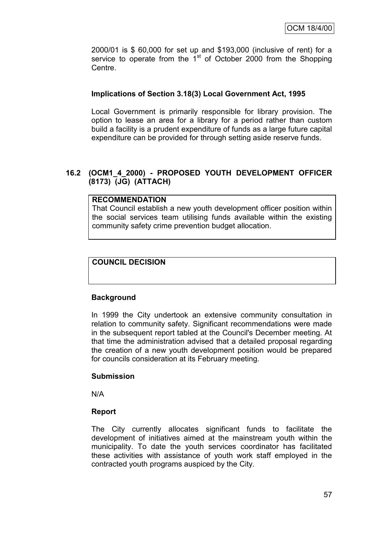2000/01 is \$ 60,000 for set up and \$193,000 (inclusive of rent) for a service to operate from the  $1<sup>st</sup>$  of October 2000 from the Shopping Centre.

# **Implications of Section 3.18(3) Local Government Act, 1995**

Local Government is primarily responsible for library provision. The option to lease an area for a library for a period rather than custom build a facility is a prudent expenditure of funds as a large future capital expenditure can be provided for through setting aside reserve funds.

# **16.2 (OCM1\_4\_2000) - PROPOSED YOUTH DEVELOPMENT OFFICER (8173) (JG) (ATTACH)**

# **RECOMMENDATION**

That Council establish a new youth development officer position within the social services team utilising funds available within the existing community safety crime prevention budget allocation.

# **COUNCIL DECISION**

# **Background**

In 1999 the City undertook an extensive community consultation in relation to community safety. Significant recommendations were made in the subsequent report tabled at the Council's December meeting. At that time the administration advised that a detailed proposal regarding the creation of a new youth development position would be prepared for councils consideration at its February meeting.

# **Submission**

N/A

# **Report**

The City currently allocates significant funds to facilitate the development of initiatives aimed at the mainstream youth within the municipality. To date the youth services coordinator has facilitated these activities with assistance of youth work staff employed in the contracted youth programs auspiced by the City.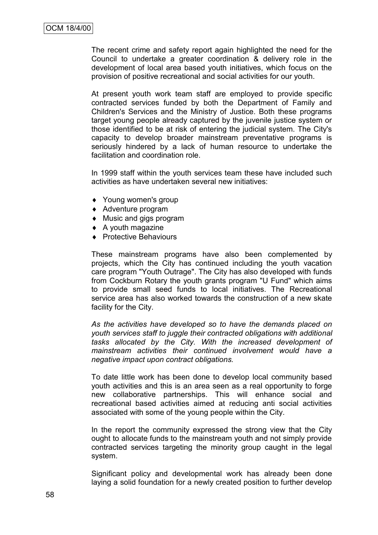The recent crime and safety report again highlighted the need for the Council to undertake a greater coordination & delivery role in the development of local area based youth initiatives, which focus on the provision of positive recreational and social activities for our youth.

At present youth work team staff are employed to provide specific contracted services funded by both the Department of Family and Children's Services and the Ministry of Justice. Both these programs target young people already captured by the juvenile justice system or those identified to be at risk of entering the judicial system. The City's capacity to develop broader mainstream preventative programs is seriously hindered by a lack of human resource to undertake the facilitation and coordination role.

In 1999 staff within the youth services team these have included such activities as have undertaken several new initiatives:

- ◆ Young women's group
- ◆ Adventure program
- Music and gigs program
- $\triangle$  A youth magazine
- ◆ Protective Behaviours

These mainstream programs have also been complemented by projects, which the City has continued including the youth vacation care program "Youth Outrage". The City has also developed with funds from Cockburn Rotary the youth grants program "U Fund" which aims to provide small seed funds to local initiatives. The Recreational service area has also worked towards the construction of a new skate facility for the City.

*As the activities have developed so to have the demands placed on youth services staff to juggle their contracted obligations with additional tasks allocated by the City. With the increased development of mainstream activities their continued involvement would have a negative impact upon contract obligations.*

To date little work has been done to develop local community based youth activities and this is an area seen as a real opportunity to forge new collaborative partnerships. This will enhance social and recreational based activities aimed at reducing anti social activities associated with some of the young people within the City.

In the report the community expressed the strong view that the City ought to allocate funds to the mainstream youth and not simply provide contracted services targeting the minority group caught in the legal system.

Significant policy and developmental work has already been done laying a solid foundation for a newly created position to further develop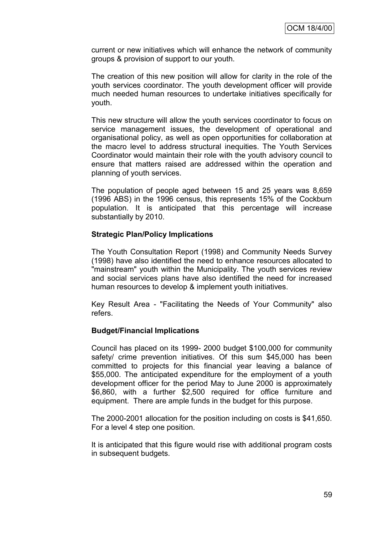current or new initiatives which will enhance the network of community groups & provision of support to our youth.

The creation of this new position will allow for clarity in the role of the youth services coordinator. The youth development officer will provide much needed human resources to undertake initiatives specifically for youth.

This new structure will allow the youth services coordinator to focus on service management issues, the development of operational and organisational policy, as well as open opportunities for collaboration at the macro level to address structural inequities. The Youth Services Coordinator would maintain their role with the youth advisory council to ensure that matters raised are addressed within the operation and planning of youth services.

The population of people aged between 15 and 25 years was 8,659 (1996 ABS) in the 1996 census, this represents 15% of the Cockburn population. It is anticipated that this percentage will increase substantially by 2010.

# **Strategic Plan/Policy Implications**

The Youth Consultation Report (1998) and Community Needs Survey (1998) have also identified the need to enhance resources allocated to "mainstream" youth within the Municipality. The youth services review and social services plans have also identified the need for increased human resources to develop & implement youth initiatives.

Key Result Area - "Facilitating the Needs of Your Community" also refers.

#### **Budget/Financial Implications**

Council has placed on its 1999- 2000 budget \$100,000 for community safety/ crime prevention initiatives. Of this sum \$45,000 has been committed to projects for this financial year leaving a balance of \$55,000. The anticipated expenditure for the employment of a youth development officer for the period May to June 2000 is approximately \$6,860, with a further \$2,500 required for office furniture and equipment. There are ample funds in the budget for this purpose.

The 2000-2001 allocation for the position including on costs is \$41,650. For a level 4 step one position.

It is anticipated that this figure would rise with additional program costs in subsequent budgets.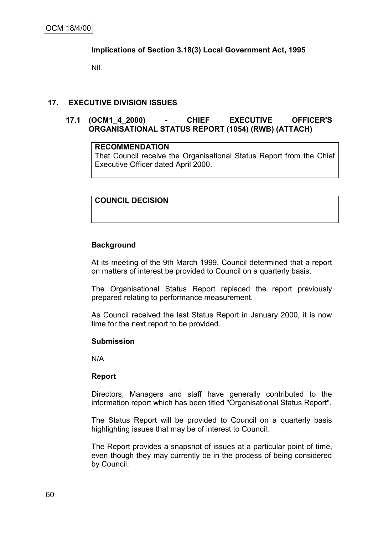# **Implications of Section 3.18(3) Local Government Act, 1995**

Nil.

# **17. EXECUTIVE DIVISION ISSUES**

# **17.1 (OCM1\_4\_2000) - CHIEF EXECUTIVE OFFICER'S ORGANISATIONAL STATUS REPORT (1054) (RWB) (ATTACH)**

#### **RECOMMENDATION**

That Council receive the Organisational Status Report from the Chief Executive Officer dated April 2000.

# **COUNCIL DECISION**

# **Background**

At its meeting of the 9th March 1999, Council determined that a report on matters of interest be provided to Council on a quarterly basis.

The Organisational Status Report replaced the report previously prepared relating to performance measurement.

As Council received the last Status Report in January 2000, it is now time for the next report to be provided.

#### **Submission**

N/A

#### **Report**

Directors, Managers and staff have generally contributed to the information report which has been titled "Organisational Status Report".

The Status Report will be provided to Council on a quarterly basis highlighting issues that may be of interest to Council.

The Report provides a snapshot of issues at a particular point of time, even though they may currently be in the process of being considered by Council.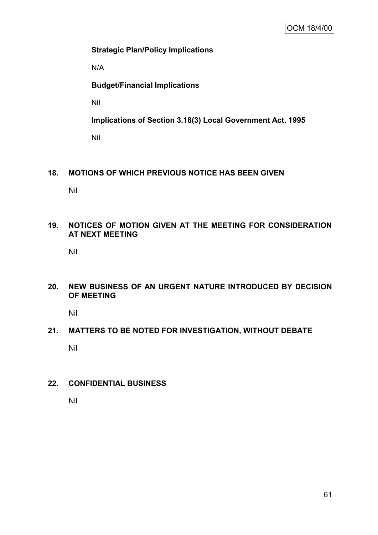# **Strategic Plan/Policy Implications**

N/A

# **Budget/Financial Implications**

Nil

**Implications of Section 3.18(3) Local Government Act, 1995**

Nil

# **18. MOTIONS OF WHICH PREVIOUS NOTICE HAS BEEN GIVEN**

Nil

# **19. NOTICES OF MOTION GIVEN AT THE MEETING FOR CONSIDERATION AT NEXT MEETING**

Nil

# **20. NEW BUSINESS OF AN URGENT NATURE INTRODUCED BY DECISION OF MEETING**

Nil

# **21. MATTERS TO BE NOTED FOR INVESTIGATION, WITHOUT DEBATE**

Nil

# **22. CONFIDENTIAL BUSINESS**

Nil